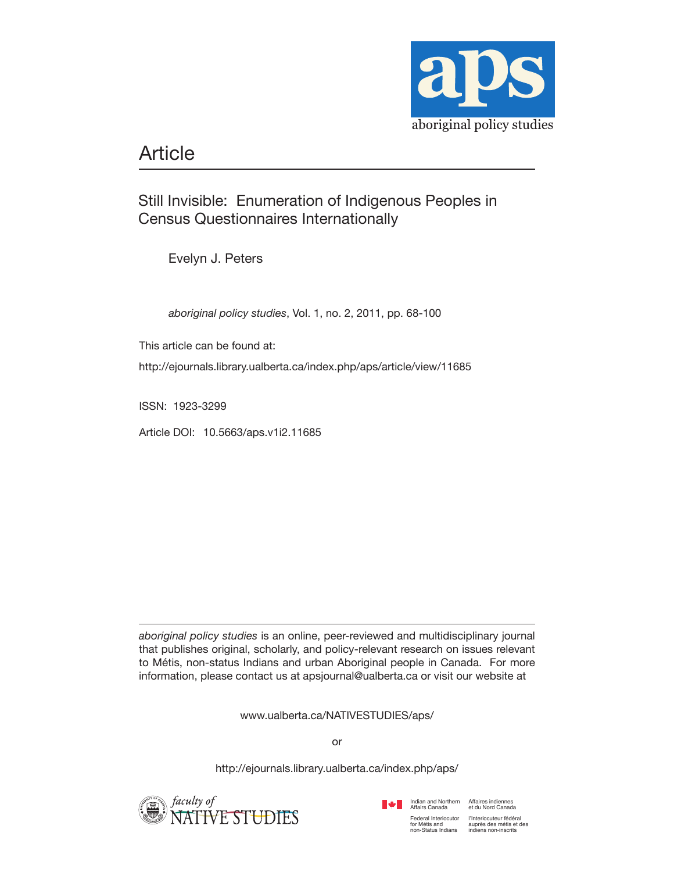

# Article

# Still Invisible: Enumeration of Indigenous Peoples in Census Questionnaires Internationally

Evelyn J. Peters

*aboriginal policy studies*, Vol. 1, no. 2, 2011, pp. 68-100

This article can be found at:

http://ejournals.library.ualberta.ca/index.php/aps/article/view/11685

ISSN: 1923-3299

Article DOI: 10.5663/aps.v1i2.11685

*aboriginal policy studies* is an online, peer-reviewed and multidisciplinary journal that publishes original, scholarly, and policy-relevant research on issues relevant to Métis, non-status Indians and urban Aboriginal people in Canada. For more information, please contact us at apsjournal@ualberta.ca or visit our website at

www.ualberta.ca/NATIVESTUDIES/aps/

or

http://ejournals.library.ualberta.ca/index.php/aps/



Indian and Northern Affaires indiennes<br>Affairs Canada et du Nord Canada



l'Interlocuteur fédéral auprès des métis et des indiens non-inscrits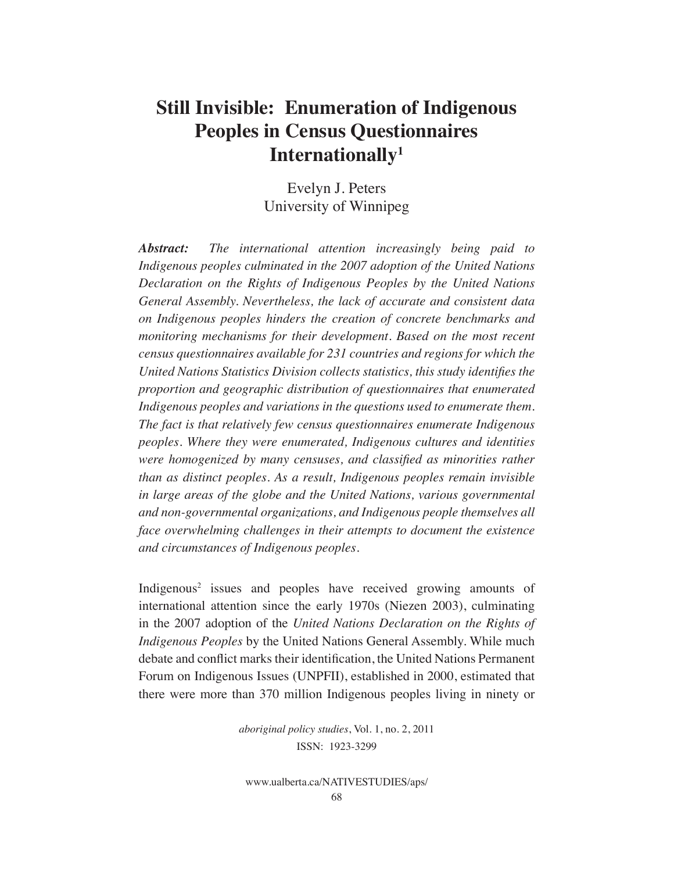# **Still Invisible: Enumeration of Indigenous Peoples in Census Questionnaires Internationally1**

Evelyn J. Peters University of Winnipeg

*Abstract: The international attention increasingly being paid to Indigenous peoples culminated in the 2007 adoption of the United Nations Declaration on the Rights of Indigenous Peoples by the United Nations General Assembly. Nevertheless, the lack of accurate and consistent data on Indigenous peoples hinders the creation of concrete benchmarks and monitoring mechanisms for their development. Based on the most recent census questionnaires available for 231 countries and regions for which the United Nations Statistics Division collects statistics, this study identifies the proportion and geographic distribution of questionnaires that enumerated Indigenous peoples and variations in the questions used to enumerate them. The fact is that relatively few census questionnaires enumerate Indigenous peoples. Where they were enumerated, Indigenous cultures and identities were homogenized by many censuses, and classified as minorities rather than as distinct peoples. As a result, Indigenous peoples remain invisible in large areas of the globe and the United Nations, various governmental and non-governmental organizations, and Indigenous people themselves all face overwhelming challenges in their attempts to document the existence and circumstances of Indigenous peoples.*

Indigenous<sup>2</sup> issues and peoples have received growing amounts of international attention since the early 1970s (Niezen 2003), culminating in the 2007 adoption of the *United Nations Declaration on the Rights of Indigenous Peoples* by the United Nations General Assembly. While much debate and conflict marks their identification, the United Nations Permanent Forum on Indigenous Issues (UNPFII), established in 2000, estimated that there were more than 370 million Indigenous peoples living in ninety or

> *aboriginal policy studies*, Vol. 1, no. 2, 2011 ISSN: 1923-3299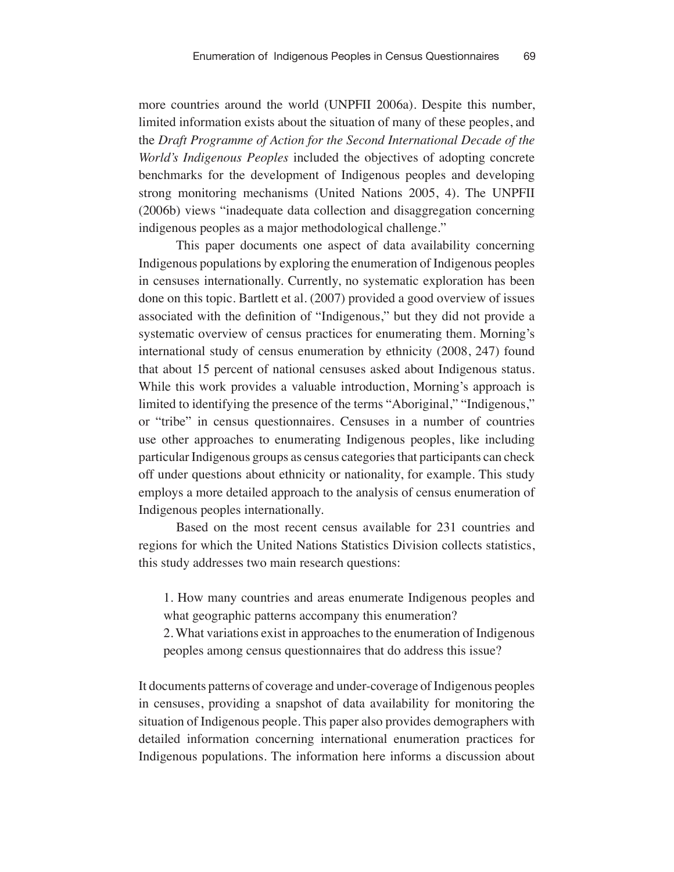more countries around the world (UNPFII 2006a). Despite this number, limited information exists about the situation of many of these peoples, and the *Draft Programme of Action for the Second International Decade of the World's Indigenous Peoples* included the objectives of adopting concrete benchmarks for the development of Indigenous peoples and developing strong monitoring mechanisms (United Nations 2005, 4). The UNPFII (2006b) views "inadequate data collection and disaggregation concerning indigenous peoples as a major methodological challenge."

This paper documents one aspect of data availability concerning Indigenous populations by exploring the enumeration of Indigenous peoples in censuses internationally. Currently, no systematic exploration has been done on this topic. Bartlett et al. (2007) provided a good overview of issues associated with the definition of "Indigenous," but they did not provide a systematic overview of census practices for enumerating them. Morning's international study of census enumeration by ethnicity (2008, 247) found that about 15 percent of national censuses asked about Indigenous status. While this work provides a valuable introduction, Morning's approach is limited to identifying the presence of the terms "Aboriginal," "Indigenous," or "tribe" in census questionnaires. Censuses in a number of countries use other approaches to enumerating Indigenous peoples, like including particular Indigenous groups as census categories that participants can check off under questions about ethnicity or nationality, for example. This study employs a more detailed approach to the analysis of census enumeration of Indigenous peoples internationally.

Based on the most recent census available for 231 countries and regions for which the United Nations Statistics Division collects statistics, this study addresses two main research questions:

1. How many countries and areas enumerate Indigenous peoples and what geographic patterns accompany this enumeration?

2. What variations exist in approaches to the enumeration of Indigenous peoples among census questionnaires that do address this issue?

It documents patterns of coverage and under-coverage of Indigenous peoples in censuses, providing a snapshot of data availability for monitoring the situation of Indigenous people. This paper also provides demographers with detailed information concerning international enumeration practices for Indigenous populations. The information here informs a discussion about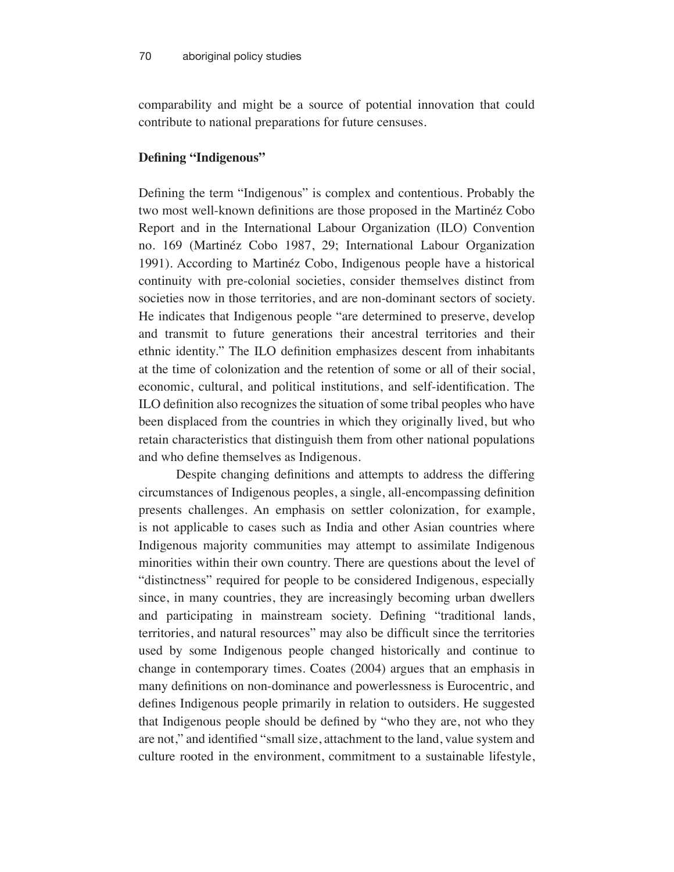comparability and might be a source of potential innovation that could contribute to national preparations for future censuses.

## **Defining "Indigenous"**

Defining the term "Indigenous" is complex and contentious. Probably the two most well-known definitions are those proposed in the Martinéz Cobo Report and in the International Labour Organization (ILO) Convention no. 169 (Martinéz Cobo 1987, 29; International Labour Organization 1991). According to Martinéz Cobo, Indigenous people have a historical continuity with pre-colonial societies, consider themselves distinct from societies now in those territories, and are non-dominant sectors of society. He indicates that Indigenous people "are determined to preserve, develop and transmit to future generations their ancestral territories and their ethnic identity." The ILO definition emphasizes descent from inhabitants at the time of colonization and the retention of some or all of their social, economic, cultural, and political institutions, and self-identification. The ILO definition also recognizes the situation of some tribal peoples who have been displaced from the countries in which they originally lived, but who retain characteristics that distinguish them from other national populations and who define themselves as Indigenous.

Despite changing definitions and attempts to address the differing circumstances of Indigenous peoples, a single, all-encompassing definition presents challenges. An emphasis on settler colonization, for example, is not applicable to cases such as India and other Asian countries where Indigenous majority communities may attempt to assimilate Indigenous minorities within their own country. There are questions about the level of "distinctness" required for people to be considered Indigenous, especially since, in many countries, they are increasingly becoming urban dwellers and participating in mainstream society. Defining "traditional lands, territories, and natural resources" may also be difficult since the territories used by some Indigenous people changed historically and continue to change in contemporary times. Coates (2004) argues that an emphasis in many definitions on non-dominance and powerlessness is Eurocentric, and defines Indigenous people primarily in relation to outsiders. He suggested that Indigenous people should be defined by "who they are, not who they are not," and identified "small size, attachment to the land, value system and culture rooted in the environment, commitment to a sustainable lifestyle,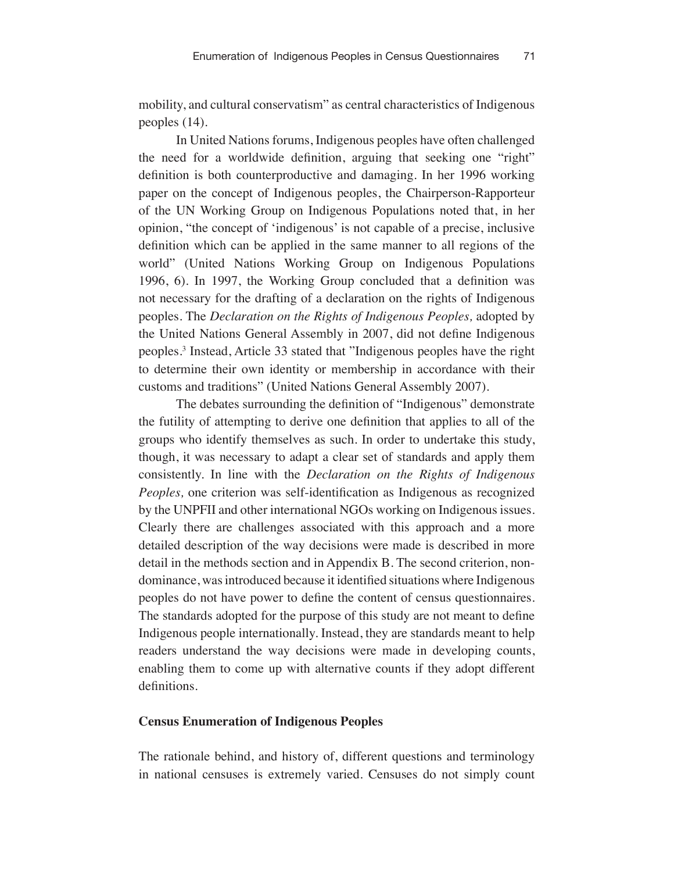mobility, and cultural conservatism" as central characteristics of Indigenous peoples (14).

In United Nations forums, Indigenous peoples have often challenged the need for a worldwide definition, arguing that seeking one "right" definition is both counterproductive and damaging. In her 1996 working paper on the concept of Indigenous peoples, the Chairperson-Rapporteur of the UN Working Group on Indigenous Populations noted that, in her opinion, "the concept of 'indigenous' is not capable of a precise, inclusive definition which can be applied in the same manner to all regions of the world" (United Nations Working Group on Indigenous Populations 1996, 6). In 1997, the Working Group concluded that a definition was not necessary for the drafting of a declaration on the rights of Indigenous peoples. The *Declaration on the Rights of Indigenous Peoples,* adopted by the United Nations General Assembly in 2007, did not define Indigenous peoples.3 Instead, Article 33 stated that "Indigenous peoples have the right to determine their own identity or membership in accordance with their customs and traditions" (United Nations General Assembly 2007).

The debates surrounding the definition of "Indigenous" demonstrate the futility of attempting to derive one definition that applies to all of the groups who identify themselves as such. In order to undertake this study, though, it was necessary to adapt a clear set of standards and apply them consistently. In line with the *Declaration on the Rights of Indigenous Peoples,* one criterion was self-identification as Indigenous as recognized by the UNPFII and other international NGOs working on Indigenous issues. Clearly there are challenges associated with this approach and a more detailed description of the way decisions were made is described in more detail in the methods section and in Appendix B. The second criterion, nondominance, was introduced because it identified situations where Indigenous peoples do not have power to define the content of census questionnaires. The standards adopted for the purpose of this study are not meant to define Indigenous people internationally. Instead, they are standards meant to help readers understand the way decisions were made in developing counts, enabling them to come up with alternative counts if they adopt different definitions.

#### **Census Enumeration of Indigenous Peoples**

The rationale behind, and history of, different questions and terminology in national censuses is extremely varied. Censuses do not simply count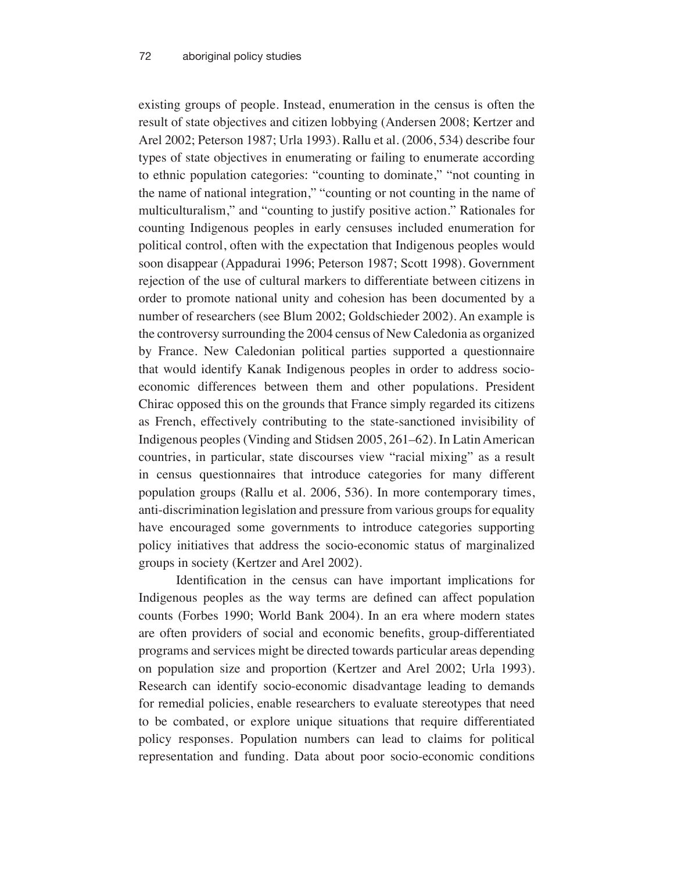existing groups of people. Instead, enumeration in the census is often the result of state objectives and citizen lobbying (Andersen 2008; Kertzer and Arel 2002; Peterson 1987; Urla 1993). Rallu et al. (2006, 534) describe four types of state objectives in enumerating or failing to enumerate according to ethnic population categories: "counting to dominate," "not counting in the name of national integration," "counting or not counting in the name of multiculturalism," and "counting to justify positive action." Rationales for counting Indigenous peoples in early censuses included enumeration for political control, often with the expectation that Indigenous peoples would soon disappear (Appadurai 1996; Peterson 1987; Scott 1998). Government rejection of the use of cultural markers to differentiate between citizens in order to promote national unity and cohesion has been documented by a number of researchers (see Blum 2002; Goldschieder 2002). An example is the controversy surrounding the 2004 census of New Caledonia as organized by France. New Caledonian political parties supported a questionnaire that would identify Kanak Indigenous peoples in order to address socioeconomic differences between them and other populations. President Chirac opposed this on the grounds that France simply regarded its citizens as French, effectively contributing to the state-sanctioned invisibility of Indigenous peoples (Vinding and Stidsen 2005, 261–62). In Latin American countries, in particular, state discourses view "racial mixing" as a result in census questionnaires that introduce categories for many different population groups (Rallu et al. 2006, 536). In more contemporary times, anti-discrimination legislation and pressure from various groups for equality have encouraged some governments to introduce categories supporting policy initiatives that address the socio-economic status of marginalized groups in society (Kertzer and Arel 2002).

Identification in the census can have important implications for Indigenous peoples as the way terms are defined can affect population counts (Forbes 1990; World Bank 2004). In an era where modern states are often providers of social and economic benefits, group-differentiated programs and services might be directed towards particular areas depending on population size and proportion (Kertzer and Arel 2002; Urla 1993). Research can identify socio-economic disadvantage leading to demands for remedial policies, enable researchers to evaluate stereotypes that need to be combated, or explore unique situations that require differentiated policy responses. Population numbers can lead to claims for political representation and funding. Data about poor socio-economic conditions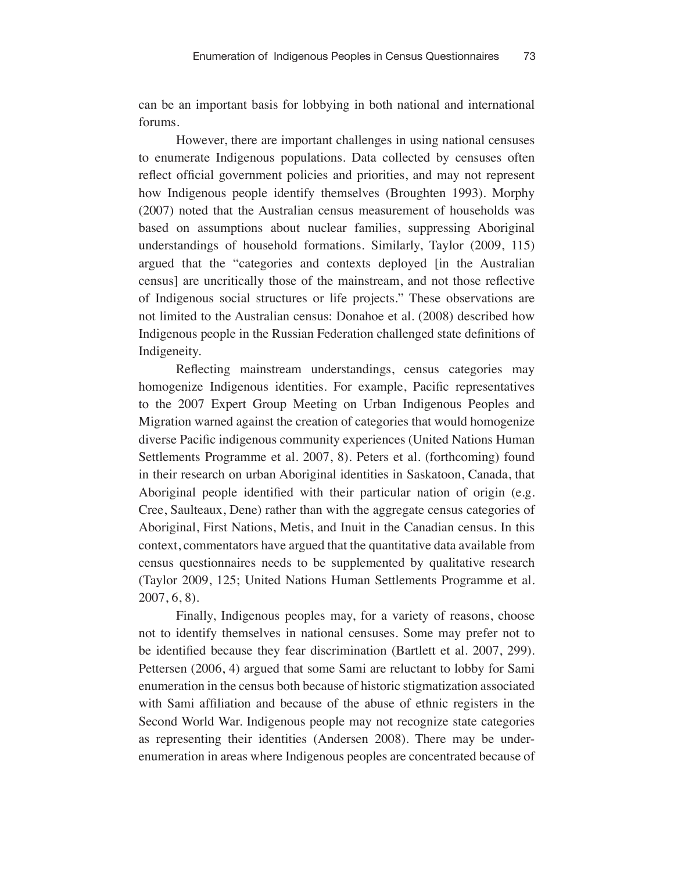can be an important basis for lobbying in both national and international forums.

However, there are important challenges in using national censuses to enumerate Indigenous populations. Data collected by censuses often reflect official government policies and priorities, and may not represent how Indigenous people identify themselves (Broughten 1993). Morphy (2007) noted that the Australian census measurement of households was based on assumptions about nuclear families, suppressing Aboriginal understandings of household formations. Similarly, Taylor (2009, 115) argued that the "categories and contexts deployed [in the Australian census] are uncritically those of the mainstream, and not those reflective of Indigenous social structures or life projects." These observations are not limited to the Australian census: Donahoe et al. (2008) described how Indigenous people in the Russian Federation challenged state definitions of Indigeneity.

Reflecting mainstream understandings, census categories may homogenize Indigenous identities. For example, Pacific representatives to the 2007 Expert Group Meeting on Urban Indigenous Peoples and Migration warned against the creation of categories that would homogenize diverse Pacific indigenous community experiences (United Nations Human Settlements Programme et al. 2007, 8). Peters et al. (forthcoming) found in their research on urban Aboriginal identities in Saskatoon, Canada, that Aboriginal people identified with their particular nation of origin (e.g. Cree, Saulteaux, Dene) rather than with the aggregate census categories of Aboriginal, First Nations, Metis, and Inuit in the Canadian census. In this context, commentators have argued that the quantitative data available from census questionnaires needs to be supplemented by qualitative research (Taylor 2009, 125; United Nations Human Settlements Programme et al. 2007, 6, 8).

Finally, Indigenous peoples may, for a variety of reasons, choose not to identify themselves in national censuses. Some may prefer not to be identified because they fear discrimination (Bartlett et al. 2007, 299). Pettersen (2006, 4) argued that some Sami are reluctant to lobby for Sami enumeration in the census both because of historic stigmatization associated with Sami affiliation and because of the abuse of ethnic registers in the Second World War. Indigenous people may not recognize state categories as representing their identities (Andersen 2008). There may be underenumeration in areas where Indigenous peoples are concentrated because of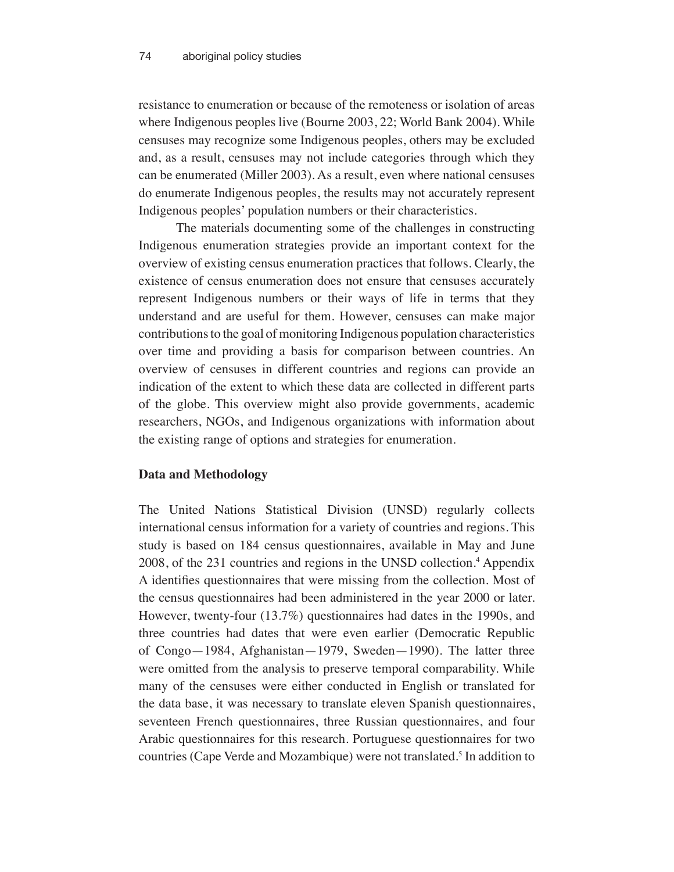resistance to enumeration or because of the remoteness or isolation of areas where Indigenous peoples live (Bourne 2003, 22; World Bank 2004). While censuses may recognize some Indigenous peoples, others may be excluded and, as a result, censuses may not include categories through which they can be enumerated (Miller 2003). As a result, even where national censuses do enumerate Indigenous peoples, the results may not accurately represent Indigenous peoples' population numbers or their characteristics.

The materials documenting some of the challenges in constructing Indigenous enumeration strategies provide an important context for the overview of existing census enumeration practices that follows. Clearly, the existence of census enumeration does not ensure that censuses accurately represent Indigenous numbers or their ways of life in terms that they understand and are useful for them. However, censuses can make major contributions to the goal of monitoring Indigenous population characteristics over time and providing a basis for comparison between countries. An overview of censuses in different countries and regions can provide an indication of the extent to which these data are collected in different parts of the globe. This overview might also provide governments, academic researchers, NGOs, and Indigenous organizations with information about the existing range of options and strategies for enumeration.

#### **Data and Methodology**

The United Nations Statistical Division (UNSD) regularly collects international census information for a variety of countries and regions. This study is based on 184 census questionnaires, available in May and June 2008, of the 231 countries and regions in the UNSD collection.4 Appendix A identifies questionnaires that were missing from the collection. Most of the census questionnaires had been administered in the year 2000 or later. However, twenty-four (13.7%) questionnaires had dates in the 1990s, and three countries had dates that were even earlier (Democratic Republic of Congo—1984, Afghanistan—1979, Sweden—1990). The latter three were omitted from the analysis to preserve temporal comparability. While many of the censuses were either conducted in English or translated for the data base, it was necessary to translate eleven Spanish questionnaires, seventeen French questionnaires, three Russian questionnaires, and four Arabic questionnaires for this research. Portuguese questionnaires for two countries (Cape Verde and Mozambique) were not translated.<sup>5</sup> In addition to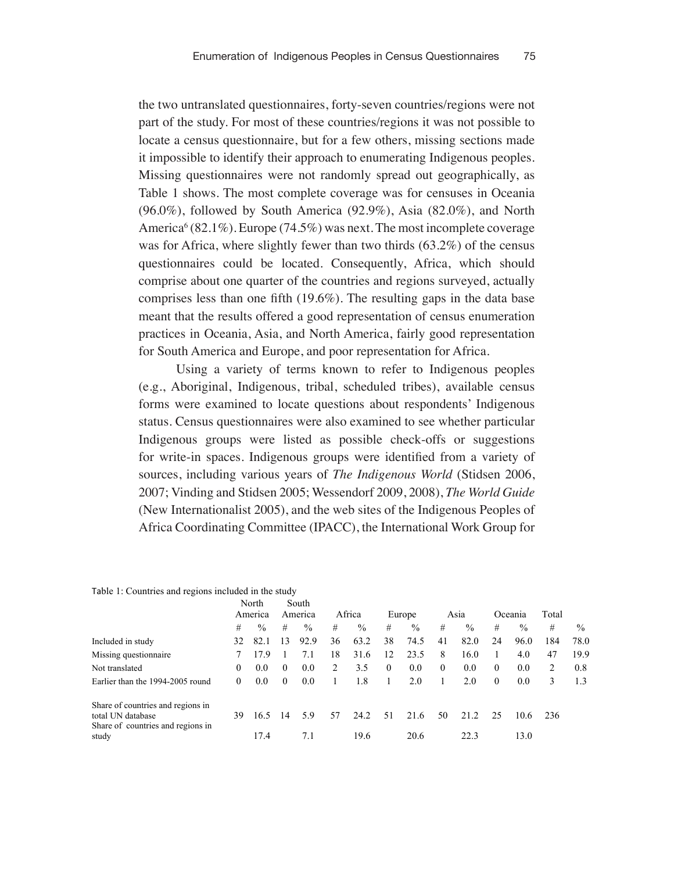the two untranslated questionnaires, forty-seven countries/regions were not part of the study. For most of these countries/regions it was not possible to locate a census questionnaire, but for a few others, missing sections made it impossible to identify their approach to enumerating Indigenous peoples. Missing questionnaires were not randomly spread out geographically, as Table 1 shows. The most complete coverage was for censuses in Oceania  $(96.0\%)$ , followed by South America  $(92.9\%)$ , Asia  $(82.0\%)$ , and North America<sup>6</sup> (82.1%). Europe (74.5%) was next. The most incomplete coverage was for Africa, where slightly fewer than two thirds (63.2%) of the census questionnaires could be located. Consequently, Africa, which should comprise about one quarter of the countries and regions surveyed, actually comprises less than one fifth (19.6%). The resulting gaps in the data base meant that the results offered a good representation of census enumeration practices in Oceania, Asia, and North America, fairly good representation for South America and Europe, and poor representation for Africa.

Using a variety of terms known to refer to Indigenous peoples (e.g., Aboriginal, Indigenous, tribal, scheduled tribes), available census forms were examined to locate questions about respondents' Indigenous status. Census questionnaires were also examined to see whether particular Indigenous groups were listed as possible check-offs or suggestions for write-in spaces. Indigenous groups were identified from a variety of sources, including various years of *The Indigenous World* (Stidsen 2006, 2007; Vinding and Stidsen 2005; Wessendorf 2009, 2008), *The World Guide* (New Internationalist 2005), and the web sites of the Indigenous Peoples of Africa Coordinating Committee (IPACC), the International Work Group for

|                                            | North<br>America |      | South<br>America |               | Africa |      | Europe   |               | Asia         |      | Oceania  |               | Total |      |
|--------------------------------------------|------------------|------|------------------|---------------|--------|------|----------|---------------|--------------|------|----------|---------------|-------|------|
|                                            | #                | $\%$ | #                | $\frac{0}{0}$ | #      | $\%$ | #        | $\frac{0}{0}$ | #            | $\%$ | #        | $\frac{0}{0}$ | #     | $\%$ |
| Included in study                          | 32               | 82.1 | 13               | 92.9          | 36     | 63.2 | 38       | 74.5          | 41           | 82.0 | 24       | 96.0          | 184   | 78.0 |
| Missing questionnaire                      |                  | 17.9 |                  | 7.1           | 18     | 31.6 | 12       | 23.5          | 8            | 16.0 |          | 4.0           | 47    | 19.9 |
| Not translated                             | 0                | 0.0  | $\theta$         | 0.0           | 2      | 3.5  | $\theta$ | 0.0           | $\mathbf{0}$ | 0.0  | $\theta$ | 0.0           | 2     | 0.8  |
| Earlier than the 1994-2005 round           | 0                | 0.0  | $\theta$         | 0.0           |        | 1.8  |          | 2.0           |              | 2.0  | $\theta$ | 0.0           | 3     | 1.3  |
| Share of countries and regions in          |                  |      |                  |               |        |      |          |               |              |      |          |               |       |      |
| total UN database                          | 39               | 16.5 | 14               | 5.9           | 57     | 24.2 | 51       | 21.6          | 50           | 21.2 | -25      | 10.6          | 236   |      |
| Share of countries and regions in<br>study |                  | 17.4 |                  | 7.1           |        | 19.6 |          | 20.6          |              | 22.3 |          | 13.0          |       |      |

Table 1: Countries and regions included in the study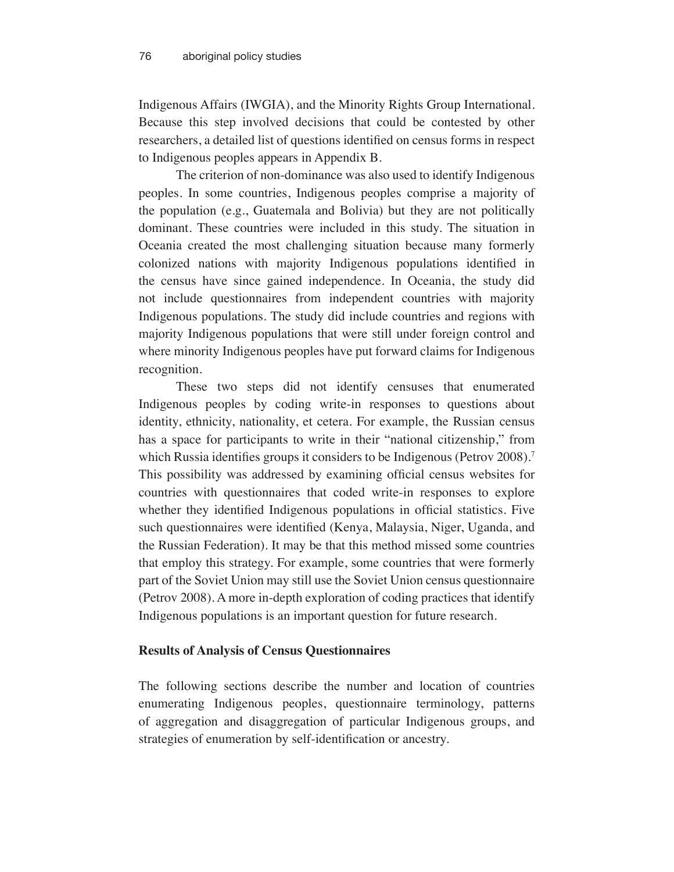Indigenous Affairs (IWGIA), and the Minority Rights Group International. Because this step involved decisions that could be contested by other researchers, a detailed list of questions identified on census forms in respect to Indigenous peoples appears in Appendix B.

The criterion of non-dominance was also used to identify Indigenous peoples. In some countries, Indigenous peoples comprise a majority of the population (e.g., Guatemala and Bolivia) but they are not politically dominant. These countries were included in this study. The situation in Oceania created the most challenging situation because many formerly colonized nations with majority Indigenous populations identified in the census have since gained independence. In Oceania, the study did not include questionnaires from independent countries with majority Indigenous populations. The study did include countries and regions with majority Indigenous populations that were still under foreign control and where minority Indigenous peoples have put forward claims for Indigenous recognition.

These two steps did not identify censuses that enumerated Indigenous peoples by coding write-in responses to questions about identity, ethnicity, nationality, et cetera. For example, the Russian census has a space for participants to write in their "national citizenship," from which Russia identifies groups it considers to be Indigenous (Petrov 2008).<sup>7</sup> This possibility was addressed by examining official census websites for countries with questionnaires that coded write-in responses to explore whether they identified Indigenous populations in official statistics. Five such questionnaires were identified (Kenya, Malaysia, Niger, Uganda, and the Russian Federation). It may be that this method missed some countries that employ this strategy. For example, some countries that were formerly part of the Soviet Union may still use the Soviet Union census questionnaire (Petrov 2008). A more in-depth exploration of coding practices that identify Indigenous populations is an important question for future research.

#### **Results of Analysis of Census Questionnaires**

The following sections describe the number and location of countries enumerating Indigenous peoples, questionnaire terminology, patterns of aggregation and disaggregation of particular Indigenous groups, and strategies of enumeration by self-identification or ancestry.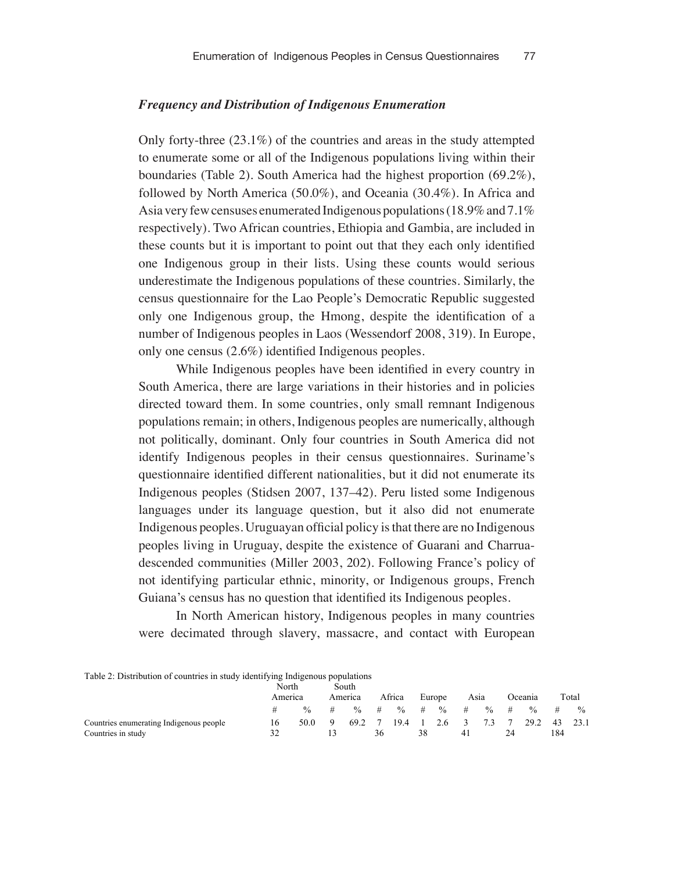### *Frequency and Distribution of Indigenous Enumeration*

Only forty-three (23.1%) of the countries and areas in the study attempted to enumerate some or all of the Indigenous populations living within their boundaries (Table 2). South America had the highest proportion (69.2%), followed by North America (50.0%), and Oceania (30.4%). In Africa and Asia very few censuses enumerated Indigenous populations (18.9% and 7.1% respectively). Two African countries, Ethiopia and Gambia, are included in these counts but it is important to point out that they each only identified one Indigenous group in their lists. Using these counts would serious underestimate the Indigenous populations of these countries. Similarly, the census questionnaire for the Lao People's Democratic Republic suggested only one Indigenous group, the Hmong, despite the identification of a number of Indigenous peoples in Laos (Wessendorf 2008, 319). In Europe, only one census (2.6%) identified Indigenous peoples.

While Indigenous peoples have been identified in every country in South America, there are large variations in their histories and in policies directed toward them. In some countries, only small remnant Indigenous populations remain; in others, Indigenous peoples are numerically, although not politically, dominant. Only four countries in South America did not identify Indigenous peoples in their census questionnaires. Suriname's questionnaire identified different nationalities, but it did not enumerate its Indigenous peoples (Stidsen 2007, 137–42). Peru listed some Indigenous languages under its language question, but it also did not enumerate Indigenous peoples. Uruguayan official policy is that there are no Indigenous peoples living in Uruguay, despite the existence of Guarani and Charruadescended communities (Miller 2003, 202). Following France's policy of not identifying particular ethnic, minority, or Indigenous groups, French Guiana's census has no question that identified its Indigenous peoples.

In North American history, Indigenous peoples in many countries were decimated through slavery, massacre, and contact with European

| Table 2: Distribution of countries in study identifying Indigenous populations |                  |               |   |               |      |               |        |               |      |               |         |               |       |               |
|--------------------------------------------------------------------------------|------------------|---------------|---|---------------|------|---------------|--------|---------------|------|---------------|---------|---------------|-------|---------------|
|                                                                                | North<br>America |               |   | South         |      |               |        |               |      |               |         |               |       |               |
|                                                                                |                  |               |   | America       |      | Africa        | Europe |               | Asia |               | Oceania |               | Total |               |
|                                                                                | #                | $\frac{0}{6}$ | # | $\frac{0}{0}$ | $\#$ | $\frac{0}{0}$ | #      | $\frac{0}{0}$ | #    | $\frac{0}{0}$ | #       | $\frac{0}{6}$ | #     | $\frac{0}{0}$ |
| Countries enumerating Indigenous people                                        | 16               | 50.0          |   | 69.2          |      | 19.4          |        | 2.6           |      | 73            |         | 29.2          | 43    | 23.1          |
| Countries in study                                                             | 32               |               |   |               | 36   |               | 38     |               | 41   |               |         |               | 184   |               |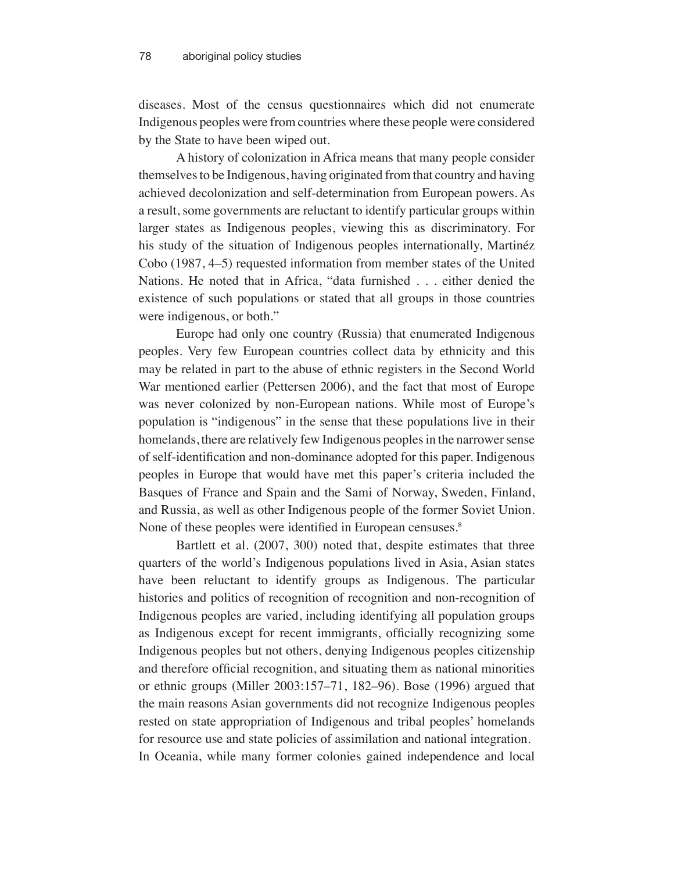diseases. Most of the census questionnaires which did not enumerate Indigenous peoples were from countries where these people were considered by the State to have been wiped out.

A history of colonization in Africa means that many people consider themselves to be Indigenous, having originated from that country and having achieved decolonization and self-determination from European powers. As a result, some governments are reluctant to identify particular groups within larger states as Indigenous peoples, viewing this as discriminatory. For his study of the situation of Indigenous peoples internationally, Martinéz Cobo (1987, 4–5) requested information from member states of the United Nations. He noted that in Africa, "data furnished . . . either denied the existence of such populations or stated that all groups in those countries were indigenous, or both."

Europe had only one country (Russia) that enumerated Indigenous peoples. Very few European countries collect data by ethnicity and this may be related in part to the abuse of ethnic registers in the Second World War mentioned earlier (Pettersen 2006), and the fact that most of Europe was never colonized by non-European nations. While most of Europe's population is "indigenous" in the sense that these populations live in their homelands, there are relatively few Indigenous peoples in the narrower sense of self-identification and non-dominance adopted for this paper. Indigenous peoples in Europe that would have met this paper's criteria included the Basques of France and Spain and the Sami of Norway, Sweden, Finland, and Russia, as well as other Indigenous people of the former Soviet Union. None of these peoples were identified in European censuses.<sup>8</sup>

Bartlett et al. (2007, 300) noted that, despite estimates that three quarters of the world's Indigenous populations lived in Asia, Asian states have been reluctant to identify groups as Indigenous. The particular histories and politics of recognition of recognition and non-recognition of Indigenous peoples are varied, including identifying all population groups as Indigenous except for recent immigrants, officially recognizing some Indigenous peoples but not others, denying Indigenous peoples citizenship and therefore official recognition, and situating them as national minorities or ethnic groups (Miller 2003:157–71, 182–96). Bose (1996) argued that the main reasons Asian governments did not recognize Indigenous peoples rested on state appropriation of Indigenous and tribal peoples' homelands for resource use and state policies of assimilation and national integration. In Oceania, while many former colonies gained independence and local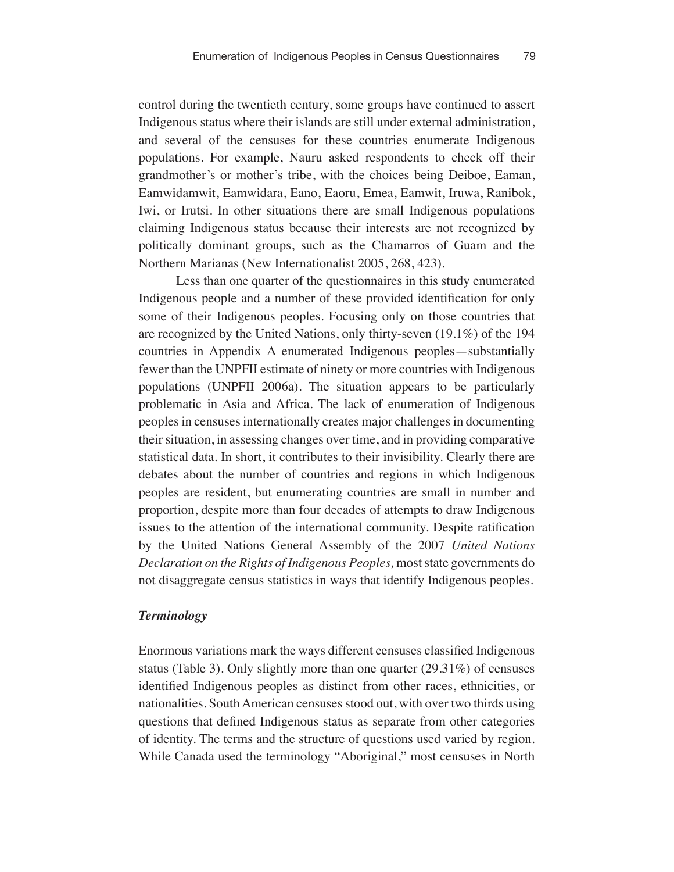control during the twentieth century, some groups have continued to assert Indigenous status where their islands are still under external administration, and several of the censuses for these countries enumerate Indigenous populations. For example, Nauru asked respondents to check off their grandmother's or mother's tribe, with the choices being Deiboe, Eaman, Eamwidamwit, Eamwidara, Eano, Eaoru, Emea, Eamwit, Iruwa, Ranibok, Iwi, or Irutsi. In other situations there are small Indigenous populations claiming Indigenous status because their interests are not recognized by politically dominant groups, such as the Chamarros of Guam and the Northern Marianas (New Internationalist 2005, 268, 423).

Less than one quarter of the questionnaires in this study enumerated Indigenous people and a number of these provided identification for only some of their Indigenous peoples. Focusing only on those countries that are recognized by the United Nations, only thirty-seven (19.1%) of the 194 countries in Appendix A enumerated Indigenous peoples—substantially fewer than the UNPFII estimate of ninety or more countries with Indigenous populations (UNPFII 2006a). The situation appears to be particularly problematic in Asia and Africa. The lack of enumeration of Indigenous peoples in censuses internationally creates major challenges in documenting their situation, in assessing changes over time, and in providing comparative statistical data. In short, it contributes to their invisibility. Clearly there are debates about the number of countries and regions in which Indigenous peoples are resident, but enumerating countries are small in number and proportion, despite more than four decades of attempts to draw Indigenous issues to the attention of the international community. Despite ratification by the United Nations General Assembly of the 2007 *United Nations Declaration on the Rights of Indigenous Peoples,* most state governments do not disaggregate census statistics in ways that identify Indigenous peoples.

#### *Terminology*

Enormous variations mark the ways different censuses classified Indigenous status (Table 3). Only slightly more than one quarter (29.31%) of censuses identified Indigenous peoples as distinct from other races, ethnicities, or nationalities. South American censuses stood out, with over two thirds using questions that defined Indigenous status as separate from other categories of identity. The terms and the structure of questions used varied by region. While Canada used the terminology "Aboriginal," most censuses in North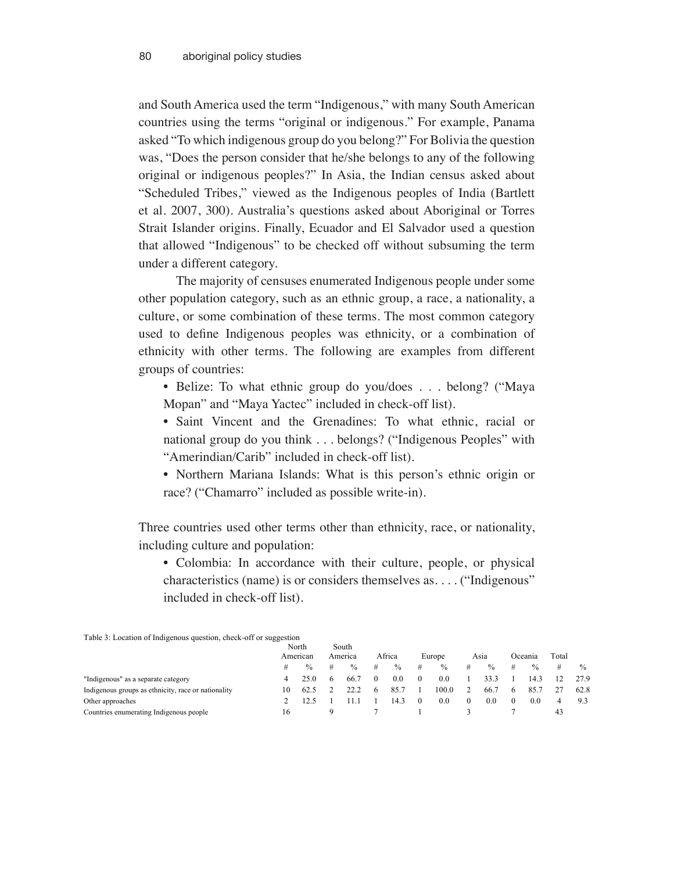and South America used the term "Indigenous," with many South American countries using the terms "original or indigenous." For example, Panama asked "To which indigenous group do you belong?" For Bolivia the question was, "Does the person consider that he/she belongs to any of the following original or indigenous peoples?" In Asia, the Indian census asked about "Scheduled Tribes," viewed as the Indigenous peoples of India (Bartlett et al. 2007, 300). Australia's questions asked about Aboriginal or Torres Strait Islander origins. Finally, Ecuador and El Salvador used a question that allowed "Indigenous" to be checked off without subsuming the term under a different category.

The majority of censuses enumerated Indigenous people under some other population category, such as an ethnic group, a race, a nationality, a culture, or some combination of these terms. The most common category used to define Indigenous peoples was ethnicity, or a combination of ethnicity with other terms. The following are examples from different groups of countries:

- Belize: To what ethnic group do you/does . . . belong? ("Maya Mopan" and "Maya Yactec" included in check-off list).
- Saint Vincent and the Grenadines: To what ethnic, racial or national group do you think . . . belongs? ("Indigenous Peoples" with "Amerindian/Carib" included in check-off list).
- Northern Mariana Islands: What is this person's ethnic origin or race? ("Chamarro" included as possible write-in).

Three countries used other terms other than ethnicity, race, or nationality, including culture and population:

• Colombia: In accordance with their culture, people, or physical characteristics (name) is or considers themselves as. . . . ("Indigenous" included in check-off list).

| Tuble 5: Ebenholt of margement quebiton, eneen oli of buggeonom |                   |               |                  |               |        |      |        |       |      |      |         |               |       |               |
|-----------------------------------------------------------------|-------------------|---------------|------------------|---------------|--------|------|--------|-------|------|------|---------|---------------|-------|---------------|
|                                                                 | North<br>American |               | South<br>America |               |        |      |        |       |      |      |         |               |       |               |
|                                                                 |                   |               |                  |               | Africa |      | Europe |       | Asıa |      | Oceania |               | Total |               |
|                                                                 | #                 | $\frac{0}{0}$ | #                | $\frac{0}{0}$ | #      | $\%$ | #      | $\%$  | #    | $\%$ |         | $\frac{0}{0}$ | #     | $\frac{0}{0}$ |
| "Indigenous" as a separate category                             | 4                 |               | <sub>6</sub>     | 66.7          |        | 0.0  |        | 0.0   |      | 33.3 |         | 14.3          |       | 27.9          |
| Indigenous groups as ethnicity, race or nationality             | 10                |               |                  | 22.2          |        | 85.7 |        | 100.0 |      | 66.7 |         | 85.7          |       | 62.8          |
| Other approaches                                                |                   |               |                  |               |        | ^ 4، |        | 0.0   |      | 0.0  |         | 0.0           |       | 93            |
| Countries enumerating Indigenous people                         | 16                |               | Ω                |               |        |      |        |       |      |      |         |               | 43    |               |

Table 3: Location of Indigenous question, check-off or suggestion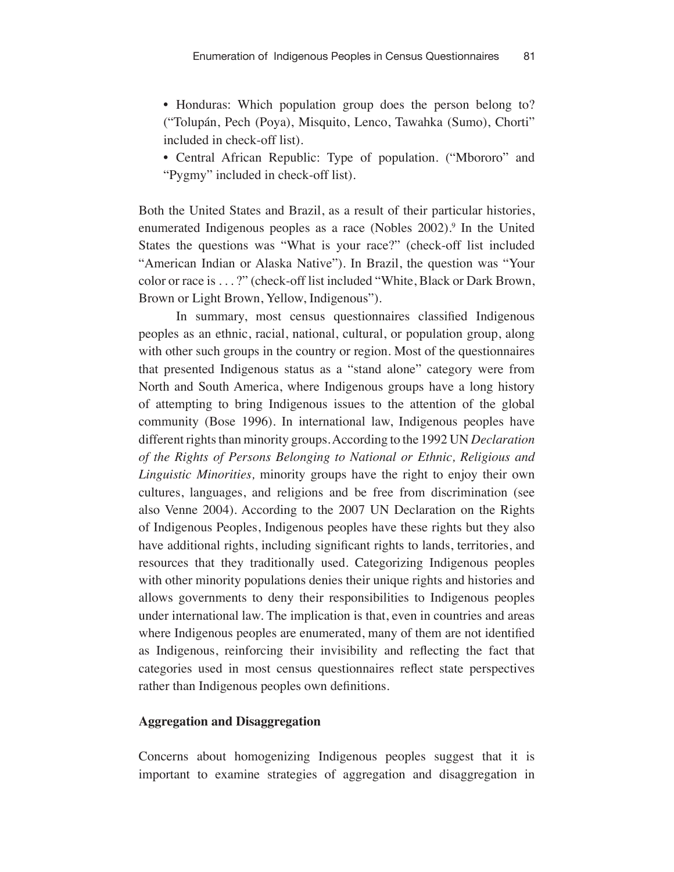• Honduras: Which population group does the person belong to? ("Tolupán, Pech (Poya), Misquito, Lenco, Tawahka (Sumo), Chorti" included in check-off list).

• Central African Republic: Type of population. ("Mbororo" and "Pygmy" included in check-off list).

Both the United States and Brazil, as a result of their particular histories, enumerated Indigenous peoples as a race (Nobles 2002).<sup>9</sup> In the United States the questions was "What is your race?" (check-off list included "American Indian or Alaska Native"). In Brazil, the question was "Your color or race is . . . ?" (check-off list included "White, Black or Dark Brown, Brown or Light Brown, Yellow, Indigenous").

In summary, most census questionnaires classified Indigenous peoples as an ethnic, racial, national, cultural, or population group, along with other such groups in the country or region. Most of the questionnaires that presented Indigenous status as a "stand alone" category were from North and South America, where Indigenous groups have a long history of attempting to bring Indigenous issues to the attention of the global community (Bose 1996). In international law, Indigenous peoples have different rights than minority groups. According to the 1992 UN *Declaration of the Rights of Persons Belonging to National or Ethnic, Religious and Linguistic Minorities,* minority groups have the right to enjoy their own cultures, languages, and religions and be free from discrimination (see also Venne 2004). According to the 2007 UN Declaration on the Rights of Indigenous Peoples, Indigenous peoples have these rights but they also have additional rights, including significant rights to lands, territories, and resources that they traditionally used. Categorizing Indigenous peoples with other minority populations denies their unique rights and histories and allows governments to deny their responsibilities to Indigenous peoples under international law. The implication is that, even in countries and areas where Indigenous peoples are enumerated, many of them are not identified as Indigenous, reinforcing their invisibility and reflecting the fact that categories used in most census questionnaires reflect state perspectives rather than Indigenous peoples own definitions.

### **Aggregation and Disaggregation**

Concerns about homogenizing Indigenous peoples suggest that it is important to examine strategies of aggregation and disaggregation in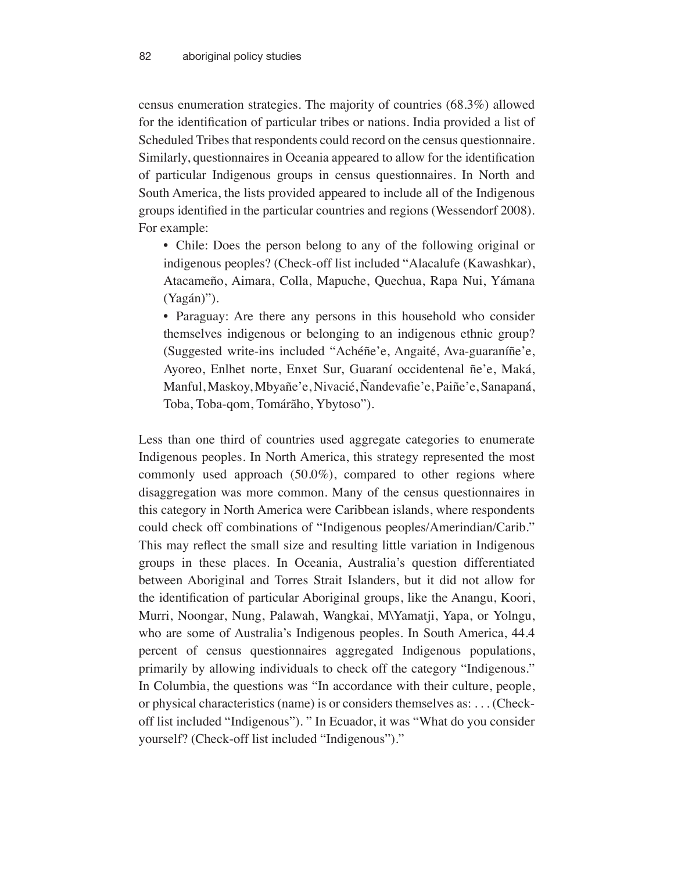census enumeration strategies. The majority of countries (68.3%) allowed for the identification of particular tribes or nations. India provided a list of Scheduled Tribes that respondents could record on the census questionnaire. Similarly, questionnaires in Oceania appeared to allow for the identification of particular Indigenous groups in census questionnaires. In North and South America, the lists provided appeared to include all of the Indigenous groups identified in the particular countries and regions (Wessendorf 2008). For example:

• Chile: Does the person belong to any of the following original or indigenous peoples? (Check-off list included "Alacalufe (Kawashkar), Atacameño, Aimara, Colla, Mapuche, Quechua, Rapa Nui, Yámana (Yagán)").

• Paraguay: Are there any persons in this household who consider themselves indigenous or belonging to an indigenous ethnic group? (Suggested write-ins included "Achéñe'e, Angaité, Ava-guaraníñe'e, Ayoreo, Enlhet norte, Enxet Sur, Guaraní occidentenal ñe'e, Maká, Manful, Maskoy, Mbyañe'e, Nivacié, Ñandevafie'e, Paiñe'e, Sanapaná, Toba, Toba-qom, Tomárãho, Ybytoso").

Less than one third of countries used aggregate categories to enumerate Indigenous peoples. In North America, this strategy represented the most commonly used approach (50.0%), compared to other regions where disaggregation was more common. Many of the census questionnaires in this category in North America were Caribbean islands, where respondents could check off combinations of "Indigenous peoples/Amerindian/Carib." This may reflect the small size and resulting little variation in Indigenous groups in these places. In Oceania, Australia's question differentiated between Aboriginal and Torres Strait Islanders, but it did not allow for the identification of particular Aboriginal groups, like the Anangu, Koori, Murri, Noongar, Nung, Palawah, Wangkai, M\Yamatji, Yapa, or Yolngu, who are some of Australia's Indigenous peoples. In South America, 44.4 percent of census questionnaires aggregated Indigenous populations, primarily by allowing individuals to check off the category "Indigenous." In Columbia, the questions was "In accordance with their culture, people, or physical characteristics (name) is or considers themselves as: . . . (Checkoff list included "Indigenous"). " In Ecuador, it was "What do you consider yourself? (Check-off list included "Indigenous")."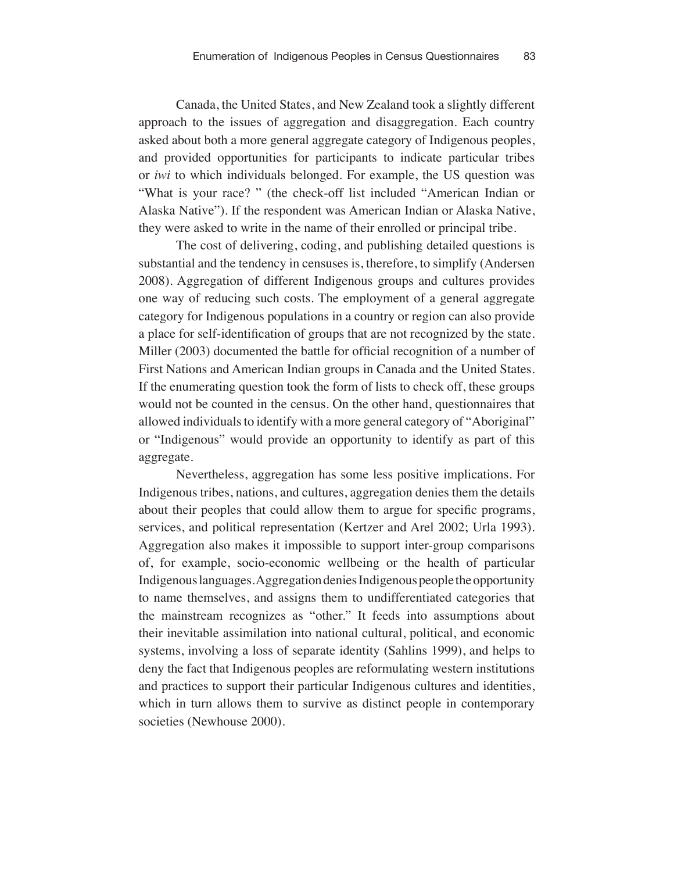Canada, the United States, and New Zealand took a slightly different approach to the issues of aggregation and disaggregation. Each country asked about both a more general aggregate category of Indigenous peoples, and provided opportunities for participants to indicate particular tribes or *iwi* to which individuals belonged. For example, the US question was "What is your race? " (the check-off list included "American Indian or Alaska Native"). If the respondent was American Indian or Alaska Native, they were asked to write in the name of their enrolled or principal tribe.

The cost of delivering, coding, and publishing detailed questions is substantial and the tendency in censuses is, therefore, to simplify (Andersen 2008). Aggregation of different Indigenous groups and cultures provides one way of reducing such costs. The employment of a general aggregate category for Indigenous populations in a country or region can also provide a place for self-identification of groups that are not recognized by the state. Miller (2003) documented the battle for official recognition of a number of First Nations and American Indian groups in Canada and the United States. If the enumerating question took the form of lists to check off, these groups would not be counted in the census. On the other hand, questionnaires that allowed individuals to identify with a more general category of "Aboriginal" or "Indigenous" would provide an opportunity to identify as part of this aggregate.

Nevertheless, aggregation has some less positive implications. For Indigenous tribes, nations, and cultures, aggregation denies them the details about their peoples that could allow them to argue for specific programs, services, and political representation (Kertzer and Arel 2002; Urla 1993). Aggregation also makes it impossible to support inter-group comparisons of, for example, socio-economic wellbeing or the health of particular Indigenous languages. Aggregation denies Indigenous people the opportunity to name themselves, and assigns them to undifferentiated categories that the mainstream recognizes as "other." It feeds into assumptions about their inevitable assimilation into national cultural, political, and economic systems, involving a loss of separate identity (Sahlins 1999), and helps to deny the fact that Indigenous peoples are reformulating western institutions and practices to support their particular Indigenous cultures and identities, which in turn allows them to survive as distinct people in contemporary societies (Newhouse 2000).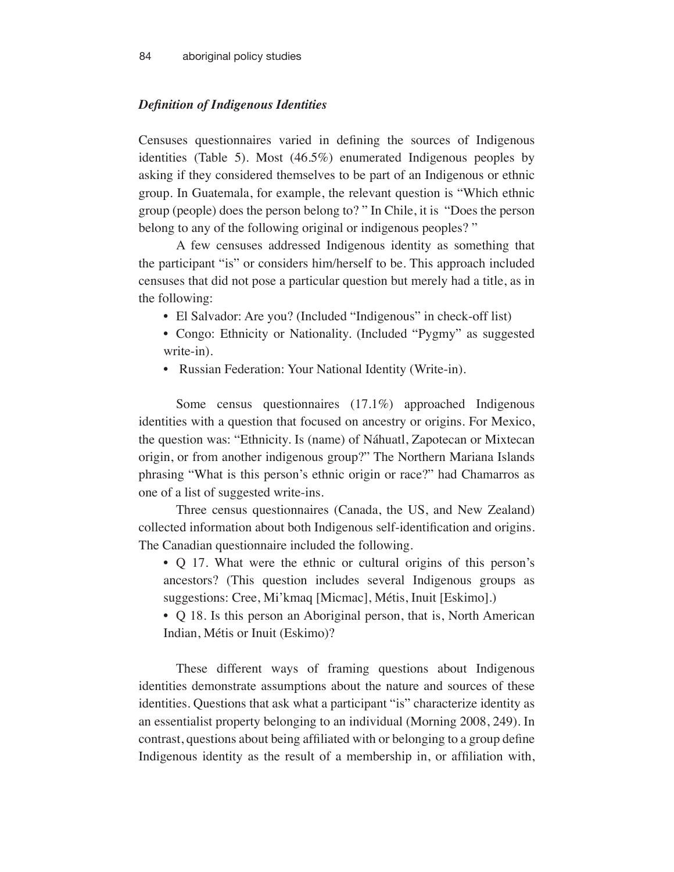# *Definition of Indigenous Identities*

Censuses questionnaires varied in defining the sources of Indigenous identities (Table 5). Most (46.5%) enumerated Indigenous peoples by asking if they considered themselves to be part of an Indigenous or ethnic group. In Guatemala, for example, the relevant question is "Which ethnic group (people) does the person belong to? " In Chile, it is "Does the person belong to any of the following original or indigenous peoples?"

A few censuses addressed Indigenous identity as something that the participant "is" or considers him/herself to be. This approach included censuses that did not pose a particular question but merely had a title, as in the following:

- El Salvador: Are you? (Included "Indigenous" in check-off list)
- Congo: Ethnicity or Nationality. (Included "Pygmy" as suggested write-in).
- Russian Federation: Your National Identity (Write-in).

Some census questionnaires (17.1%) approached Indigenous identities with a question that focused on ancestry or origins. For Mexico, the question was: "Ethnicity. Is (name) of Náhuatl, Zapotecan or Mixtecan origin, or from another indigenous group?" The Northern Mariana Islands phrasing "What is this person's ethnic origin or race?" had Chamarros as one of a list of suggested write-ins.

Three census questionnaires (Canada, the US, and New Zealand) collected information about both Indigenous self-identification and origins. The Canadian questionnaire included the following.

• Q 17. What were the ethnic or cultural origins of this person's ancestors? (This question includes several Indigenous groups as suggestions: Cree, Mi'kmaq [Micmac], Métis, Inuit [Eskimo].)

• Q 18. Is this person an Aboriginal person, that is, North American Indian, Métis or Inuit (Eskimo)?

These different ways of framing questions about Indigenous identities demonstrate assumptions about the nature and sources of these identities. Questions that ask what a participant "is" characterize identity as an essentialist property belonging to an individual (Morning 2008, 249). In contrast, questions about being affiliated with or belonging to a group define Indigenous identity as the result of a membership in, or affiliation with,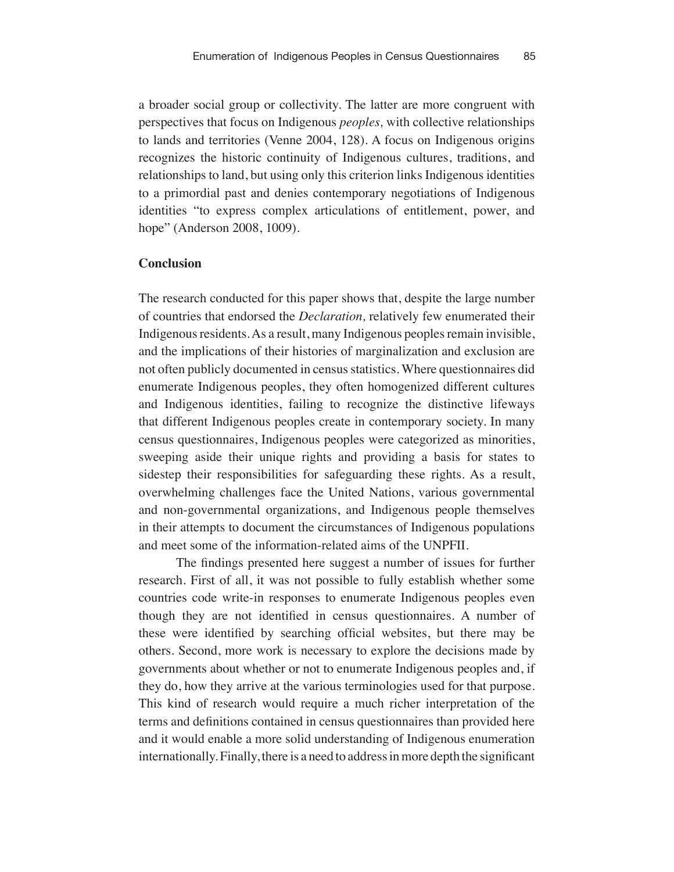a broader social group or collectivity. The latter are more congruent with perspectives that focus on Indigenous *peoples,* with collective relationships to lands and territories (Venne 2004, 128). A focus on Indigenous origins recognizes the historic continuity of Indigenous cultures, traditions, and relationships to land, but using only this criterion links Indigenous identities to a primordial past and denies contemporary negotiations of Indigenous identities "to express complex articulations of entitlement, power, and hope" (Anderson 2008, 1009).

#### **Conclusion**

The research conducted for this paper shows that, despite the large number of countries that endorsed the *Declaration,* relatively few enumerated their Indigenous residents. As a result, many Indigenous peoples remain invisible, and the implications of their histories of marginalization and exclusion are not often publicly documented in census statistics. Where questionnaires did enumerate Indigenous peoples, they often homogenized different cultures and Indigenous identities, failing to recognize the distinctive lifeways that different Indigenous peoples create in contemporary society. In many census questionnaires, Indigenous peoples were categorized as minorities, sweeping aside their unique rights and providing a basis for states to sidestep their responsibilities for safeguarding these rights. As a result, overwhelming challenges face the United Nations, various governmental and non-governmental organizations, and Indigenous people themselves in their attempts to document the circumstances of Indigenous populations and meet some of the information-related aims of the UNPFII.

The findings presented here suggest a number of issues for further research. First of all, it was not possible to fully establish whether some countries code write-in responses to enumerate Indigenous peoples even though they are not identified in census questionnaires. A number of these were identified by searching official websites, but there may be others. Second, more work is necessary to explore the decisions made by governments about whether or not to enumerate Indigenous peoples and, if they do, how they arrive at the various terminologies used for that purpose. This kind of research would require a much richer interpretation of the terms and definitions contained in census questionnaires than provided here and it would enable a more solid understanding of Indigenous enumeration internationally. Finally, there is a need to address in more depth the significant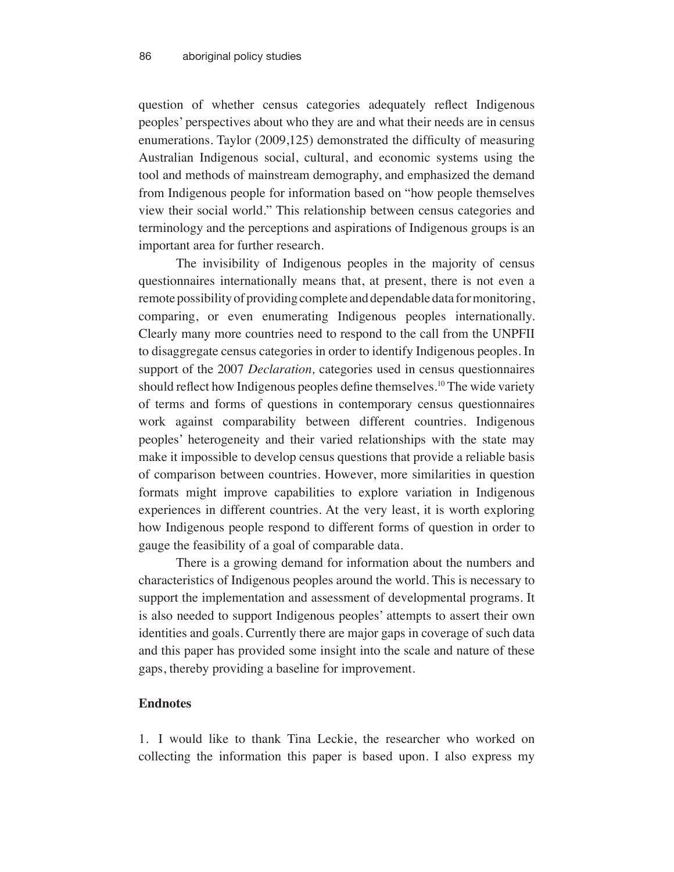question of whether census categories adequately reflect Indigenous peoples' perspectives about who they are and what their needs are in census enumerations. Taylor (2009,125) demonstrated the difficulty of measuring Australian Indigenous social, cultural, and economic systems using the tool and methods of mainstream demography, and emphasized the demand from Indigenous people for information based on "how people themselves view their social world." This relationship between census categories and terminology and the perceptions and aspirations of Indigenous groups is an important area for further research.

The invisibility of Indigenous peoples in the majority of census questionnaires internationally means that, at present, there is not even a remote possibility of providing complete and dependable data for monitoring, comparing, or even enumerating Indigenous peoples internationally. Clearly many more countries need to respond to the call from the UNPFII to disaggregate census categories in order to identify Indigenous peoples. In support of the 2007 *Declaration,* categories used in census questionnaires should reflect how Indigenous peoples define themselves.<sup>10</sup> The wide variety of terms and forms of questions in contemporary census questionnaires work against comparability between different countries. Indigenous peoples' heterogeneity and their varied relationships with the state may make it impossible to develop census questions that provide a reliable basis of comparison between countries. However, more similarities in question formats might improve capabilities to explore variation in Indigenous experiences in different countries. At the very least, it is worth exploring how Indigenous people respond to different forms of question in order to gauge the feasibility of a goal of comparable data.

There is a growing demand for information about the numbers and characteristics of Indigenous peoples around the world. This is necessary to support the implementation and assessment of developmental programs. It is also needed to support Indigenous peoples' attempts to assert their own identities and goals. Currently there are major gaps in coverage of such data and this paper has provided some insight into the scale and nature of these gaps, thereby providing a baseline for improvement.

#### **Endnotes**

1. I would like to thank Tina Leckie, the researcher who worked on collecting the information this paper is based upon. I also express my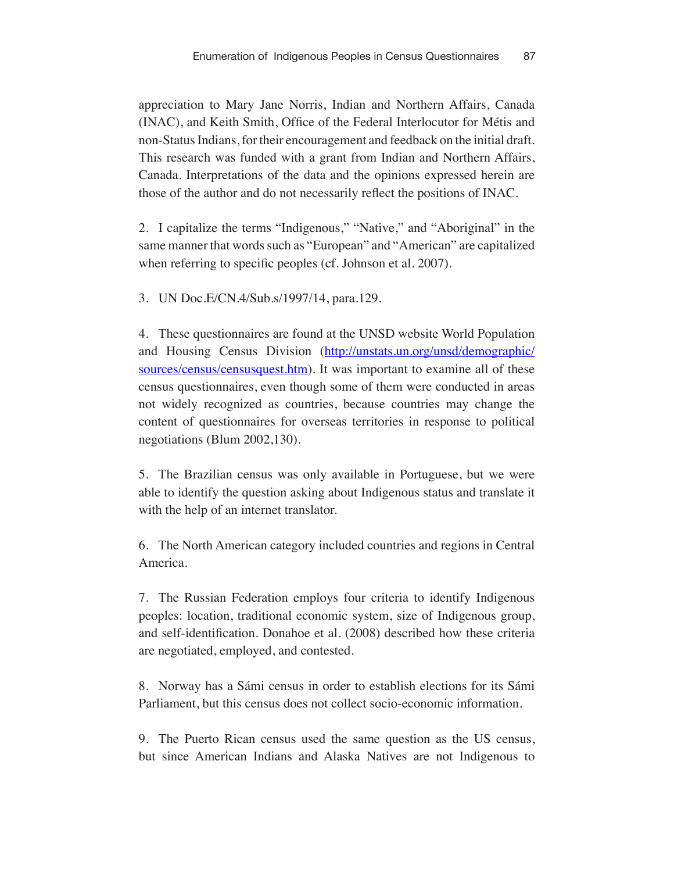appreciation to Mary Jane Norris, Indian and Northern Affairs, Canada (INAC), and Keith Smith, Office of the Federal Interlocutor for Métis and non-Status Indians, for their encouragement and feedback on the initial draft. This research was funded with a grant from Indian and Northern Affairs, Canada. Interpretations of the data and the opinions expressed herein are those of the author and do not necessarily reflect the positions of INAC.

2. I capitalize the terms "Indigenous," "Native," and "Aboriginal" in the same manner that words such as "European" and "American" are capitalized when referring to specific peoples (cf. Johnson et al. 2007).

3. UN Doc.E/CN.4/Sub.s/1997/14, para.129.

4. These questionnaires are found at the UNSD website World Population and Housing Census Division (http://unstats.un.org/unsd/demographic/ sources/census/censusquest.htm). It was important to examine all of these census questionnaires, even though some of them were conducted in areas not widely recognized as countries, because countries may change the content of questionnaires for overseas territories in response to political negotiations (Blum 2002,130).

5. The Brazilian census was only available in Portuguese, but we were able to identify the question asking about Indigenous status and translate it with the help of an internet translator.

6. The North American category included countries and regions in Central America.

7. The Russian Federation employs four criteria to identify Indigenous peoples: location, traditional economic system, size of Indigenous group, and self-identification. Donahoe et al. (2008) described how these criteria are negotiated, employed, and contested.

8. Norway has a Sámi census in order to establish elections for its Sámi Parliament, but this census does not collect socio-economic information.

9. The Puerto Rican census used the same question as the US census, but since American Indians and Alaska Natives are not Indigenous to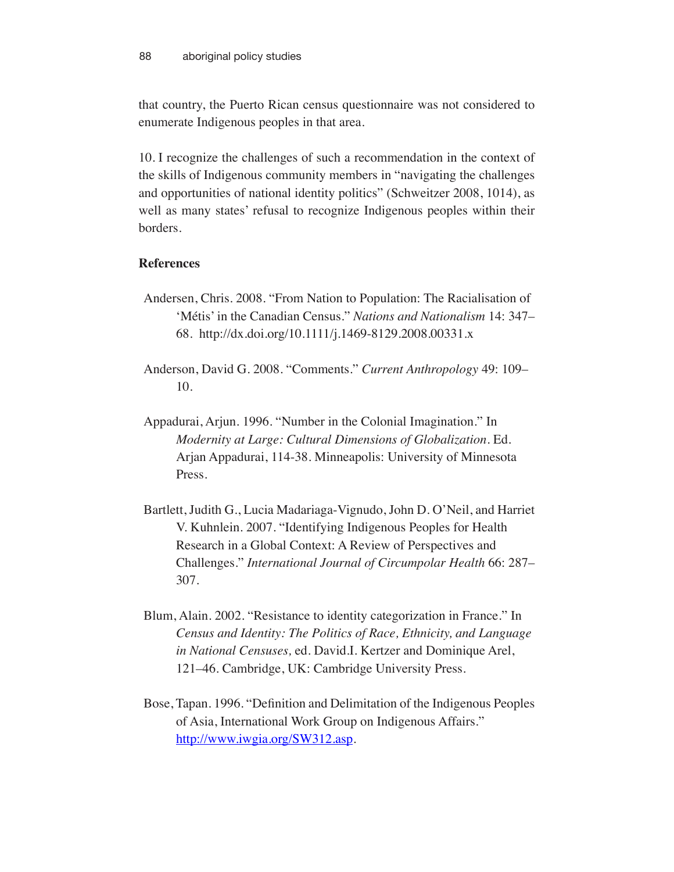that country, the Puerto Rican census questionnaire was not considered to enumerate Indigenous peoples in that area.

10. I recognize the challenges of such a recommendation in the context of the skills of Indigenous community members in "navigating the challenges and opportunities of national identity politics" (Schweitzer 2008, 1014), as well as many states' refusal to recognize Indigenous peoples within their borders.

# **References**

- Andersen, Chris. 2008. "From Nation to Population: The Racialisation of 'Métis' in the Canadian Census." *Nations and Nationalism* 14: 347– 68. http://dx.doi.org/10.1111/j.1469-8129.2008.00331.x
- Anderson, David G. 2008. "Comments." *Current Anthropology* 49: 109– 10.
- Appadurai, Arjun. 1996. "Number in the Colonial Imagination." In *Modernity at Large: Cultural Dimensions of Globalization.* Ed. Arjan Appadurai, 114-38. Minneapolis: University of Minnesota Press.
- Bartlett, Judith G., Lucia Madariaga-Vignudo, John D. O'Neil, and Harriet V. Kuhnlein. 2007. "Identifying Indigenous Peoples for Health Research in a Global Context: A Review of Perspectives and Challenges." *International Journal of Circumpolar Health* 66: 287– 307.
- Blum, Alain. 2002. "Resistance to identity categorization in France." In *Census and Identity: The Politics of Race, Ethnicity, and Language in National Censuses,* ed. David.I. Kertzer and Dominique Arel, 121–46. Cambridge, UK: Cambridge University Press.
- Bose, Tapan. 1996. "Definition and Delimitation of the Indigenous Peoples of Asia, International Work Group on Indigenous Affairs." http://www.iwgia.org/SW312.asp.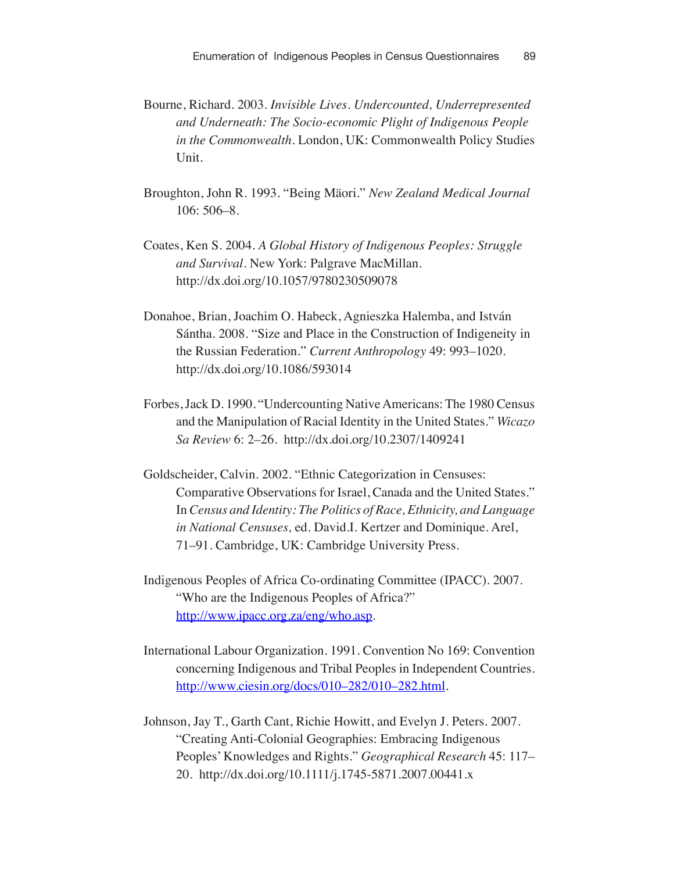- Bourne, Richard. 2003. *Invisible Lives. Undercounted, Underrepresented and Underneath: The Socio-economic Plight of Indigenous People in the Commonwealth.* London, UK: Commonwealth Policy Studies Unit.
- Broughton, John R. 1993. "Being Mäori." *New Zealand Medical Journal* 106: 506–8.
- Coates, Ken S. 2004. *A Global History of Indigenous Peoples: Struggle and Survival.* New York: Palgrave MacMillan. http://dx.doi.org/10.1057/9780230509078
- Donahoe, Brian, Joachim O. Habeck, Agnieszka Halemba, and István Sántha. 2008. "Size and Place in the Construction of Indigeneity in the Russian Federation." *Current Anthropology* 49: 993–1020. http://dx.doi.org/10.1086/593014
- Forbes, Jack D. 1990. "Undercounting Native Americans: The 1980 Census and the Manipulation of Racial Identity in the United States." *Wicazo Sa Review* 6: 2–26. http://dx.doi.org/10.2307/1409241
- Goldscheider, Calvin. 2002. "Ethnic Categorization in Censuses: Comparative Observations for Israel, Canada and the United States." In *Census and Identity: The Politics of Race, Ethnicity, and Language in National Censuses,* ed. David.I. Kertzer and Dominique. Arel, 71–91. Cambridge, UK: Cambridge University Press.
- Indigenous Peoples of Africa Co-ordinating Committee (IPACC). 2007. "Who are the Indigenous Peoples of Africa?" http://www.ipacc.org.za/eng/who.asp.
- International Labour Organization. 1991. Convention No 169: Convention concerning Indigenous and Tribal Peoples in Independent Countries*.* http://www.ciesin.org/docs/010–282/010–282.html.
- Johnson, Jay T., Garth Cant, Richie Howitt, and Evelyn J. Peters. 2007. "Creating Anti-Colonial Geographies: Embracing Indigenous Peoples' Knowledges and Rights." *Geographical Research* 45: 117– 20. http://dx.doi.org/10.1111/j.1745-5871.2007.00441.x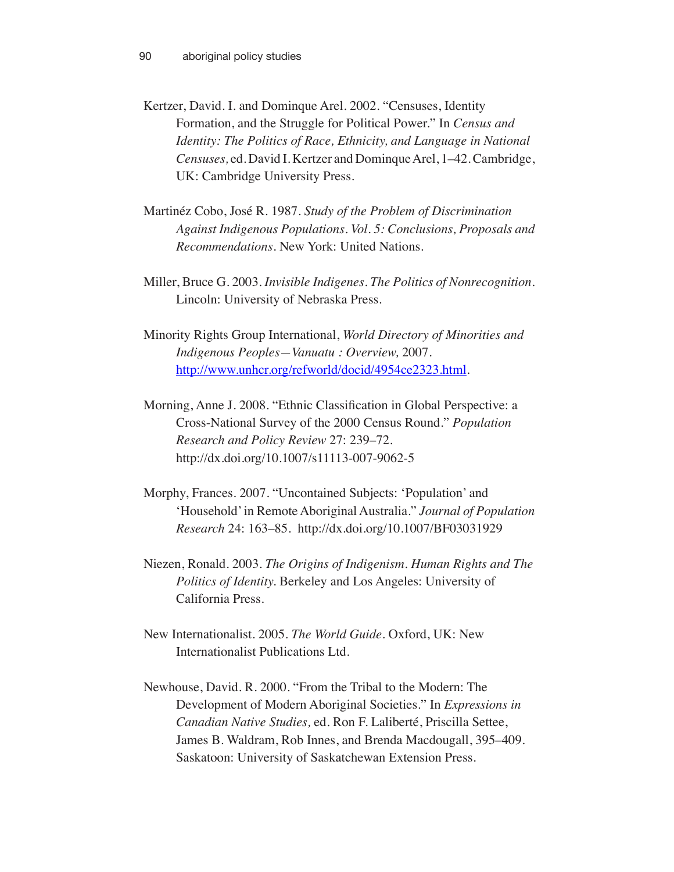Kertzer, David. I. and Dominque Arel. 2002. "Censuses, Identity Formation, and the Struggle for Political Power." In *Census and Identity: The Politics of Race, Ethnicity, and Language in National Censuses,* ed. David I. Kertzer and Dominque Arel, 1–42. Cambridge, UK: Cambridge University Press.

- Martinéz Cobo, José R. 1987. *Study of the Problem of Discrimination Against Indigenous Populations. Vol. 5: Conclusions, Proposals and Recommendations.* New York: United Nations.
- Miller, Bruce G. 2003. *Invisible Indigenes. The Politics of Nonrecognition.* Lincoln: University of Nebraska Press.
- Minority Rights Group International, *World Directory of Minorities and Indigenous Peoples—Vanuatu : Overview,* 2007. http://www.unhcr.org/refworld/docid/4954ce2323.html.
- Morning, Anne J. 2008. "Ethnic Classification in Global Perspective: a Cross-National Survey of the 2000 Census Round." *Population Research and Policy Review* 27: 239–72. http://dx.doi.org/10.1007/s11113-007-9062-5
- Morphy, Frances. 2007. "Uncontained Subjects: 'Population' and 'Household' in Remote Aboriginal Australia." *Journal of Population Research* 24: 163–85. http://dx.doi.org/10.1007/BF03031929
- Niezen, Ronald. 2003. *The Origins of Indigenism. Human Rights and The Politics of Identity.* Berkeley and Los Angeles: University of California Press.
- New Internationalist. 2005. *The World Guide.* Oxford, UK: New Internationalist Publications Ltd.
- Newhouse, David. R. 2000. "From the Tribal to the Modern: The Development of Modern Aboriginal Societies." In *Expressions in Canadian Native Studies,* ed. Ron F. Laliberté, Priscilla Settee, James B. Waldram, Rob Innes, and Brenda Macdougall, 395–409. Saskatoon: University of Saskatchewan Extension Press.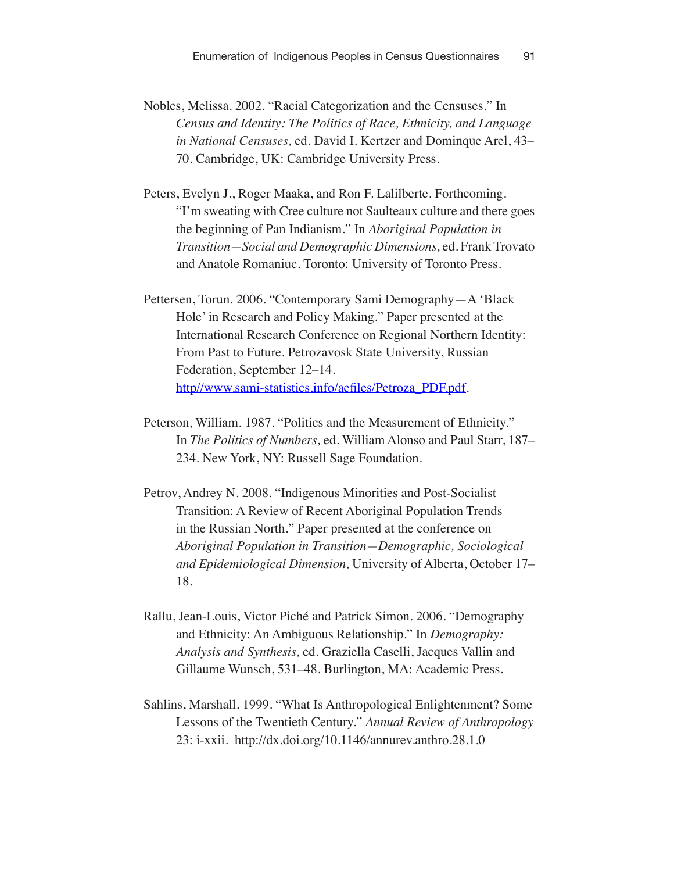Nobles, Melissa. 2002. "Racial Categorization and the Censuses." In *Census and Identity: The Politics of Race, Ethnicity, and Language in National Censuses,* ed. David I. Kertzer and Dominque Arel, 43– 70. Cambridge, UK: Cambridge University Press.

Peters, Evelyn J., Roger Maaka, and Ron F. Lalilberte. Forthcoming. "I'm sweating with Cree culture not Saulteaux culture and there goes the beginning of Pan Indianism." In *Aboriginal Population in Transition—Social and Demographic Dimensions,* ed. Frank Trovato and Anatole Romaniuc. Toronto: University of Toronto Press.

- Pettersen, Torun. 2006. "Contemporary Sami Demography—A 'Black Hole' in Research and Policy Making." Paper presented at the International Research Conference on Regional Northern Identity: From Past to Future. Petrozavosk State University, Russian Federation, September 12–14. http//www.sami-statistics.info/aefiles/Petroza\_PDF.pdf.
- Peterson, William. 1987. "Politics and the Measurement of Ethnicity." In *The Politics of Numbers,* ed. William Alonso and Paul Starr, 187– 234. New York, NY: Russell Sage Foundation.
- Petrov, Andrey N. 2008. "Indigenous Minorities and Post-Socialist Transition: A Review of Recent Aboriginal Population Trends in the Russian North." Paper presented at the conference on *Aboriginal Population in Transition—Demographic, Sociological and Epidemiological Dimension,* University of Alberta, October 17– 18.
- Rallu, Jean-Louis, Victor Piché and Patrick Simon. 2006. "Demography and Ethnicity: An Ambiguous Relationship." In *Demography: Analysis and Synthesis,* ed. Graziella Caselli, Jacques Vallin and Gillaume Wunsch, 531–48. Burlington, MA: Academic Press.
- Sahlins, Marshall. 1999. "What Is Anthropological Enlightenment? Some Lessons of the Twentieth Century." *Annual Review of Anthropology* 23: i-xxii. http://dx.doi.org/10.1146/annurev.anthro.28.1.0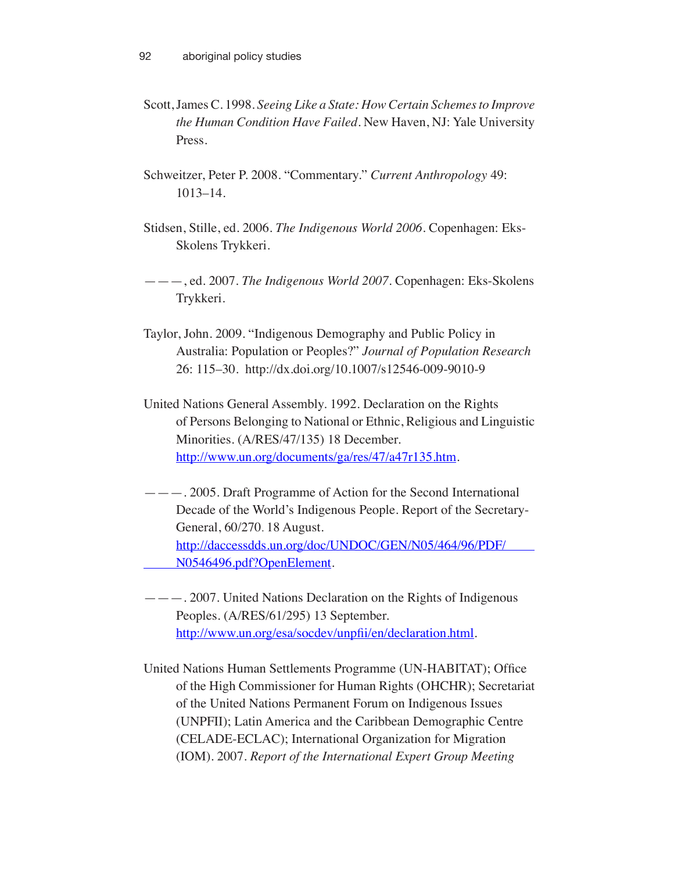- Scott, James C. 1998. *Seeing Like a State: How Certain Schemes to Improve the Human Condition Have Failed.* New Haven, NJ: Yale University Press.
- Schweitzer, Peter P. 2008. "Commentary." *Current Anthropology* 49: 1013–14.
- Stidsen, Stille, ed. 2006. *The Indigenous World 2006.* Copenhagen: Eks-Skolens Trykkeri.
- ———, ed. 2007. *The Indigenous World 2007.* Copenhagen: Eks-Skolens Trykkeri.
- Taylor, John. 2009. "Indigenous Demography and Public Policy in Australia: Population or Peoples?" *Journal of Population Research* 26: 115–30. http://dx.doi.org/10.1007/s12546-009-9010-9
- United Nations General Assembly. 1992. Declaration on the Rights of Persons Belonging to National or Ethnic, Religious and Linguistic Minorities. (A/RES/47/135) 18 December. http://www.un.org/documents/ga/res/47/a47r135.htm.
- ———. 2005. Draft Programme of Action for the Second International Decade of the World's Indigenous People. Report of the Secretary-General, 60/270. 18 August. http://daccessdds.un.org/doc/UNDOC/GEN/N05/464/96/PDF/ N0546496.pdf?OpenElement.
- ———. 2007. United Nations Declaration on the Rights of Indigenous Peoples*.* (A/RES/61/295) 13 September. http://www.un.org/esa/socdev/unpfii/en/declaration.html.

United Nations Human Settlements Programme (UN-HABITAT); Office of the High Commissioner for Human Rights (OHCHR); Secretariat of the United Nations Permanent Forum on Indigenous Issues (UNPFII); Latin America and the Caribbean Demographic Centre (CELADE-ECLAC); International Organization for Migration (IOM). 2007. *Report of the International Expert Group Meeting*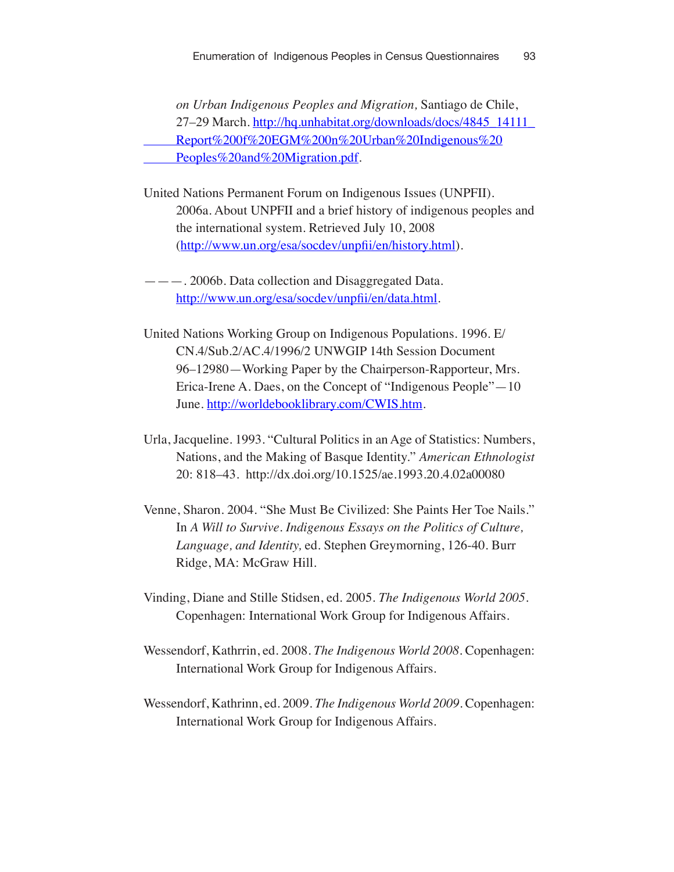*on Urban Indigenous Peoples and Migration,* Santiago de Chile, 27–29 March. http://hq.unhabitat.org/downloads/docs/4845\_14111 Report%200f%20EGM%200n%20Urban%20Indigenous%20 Peoples%20and%20Migration.pdf.

United Nations Permanent Forum on Indigenous Issues (UNPFII). 2006a. About UNPFII and a brief history of indigenous peoples and the international system. Retrieved July 10, 2008 (http://www.un.org/esa/socdev/unpfii/en/history.html).

———. 2006b. Data collection and Disaggregated Data. http://www.un.org/esa/socdev/unpfii/en/data.html.

- United Nations Working Group on Indigenous Populations. 1996. E/ CN.4/Sub.2/AC.4/1996/2 UNWGIP 14th Session Document 96–12980—Working Paper by the Chairperson-Rapporteur, Mrs. Erica-Irene A. Daes, on the Concept of "Indigenous People"—10 June. http://worldebooklibrary.com/CWIS.htm.
- Urla, Jacqueline. 1993. "Cultural Politics in an Age of Statistics: Numbers, Nations, and the Making of Basque Identity." *American Ethnologist* 20: 818–43. http://dx.doi.org/10.1525/ae.1993.20.4.02a00080
- Venne, Sharon. 2004. "She Must Be Civilized: She Paints Her Toe Nails." In *A Will to Survive. Indigenous Essays on the Politics of Culture, Language, and Identity,* ed. Stephen Greymorning, 126-40. Burr Ridge, MA: McGraw Hill.
- Vinding, Diane and Stille Stidsen, ed. 2005. *The Indigenous World 2005.* Copenhagen: International Work Group for Indigenous Affairs.
- Wessendorf, Kathrrin, ed. 2008. *The Indigenous World 2008.* Copenhagen: International Work Group for Indigenous Affairs.
- Wessendorf, Kathrinn, ed. 2009. *The Indigenous World 2009.* Copenhagen: International Work Group for Indigenous Affairs.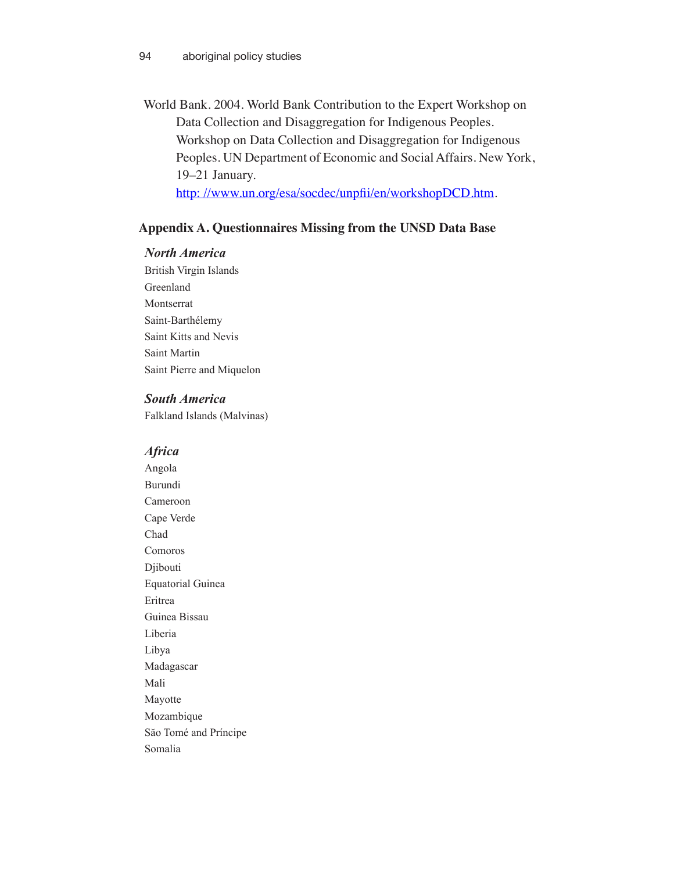World Bank. 2004. World Bank Contribution to the Expert Workshop on Data Collection and Disaggregation for Indigenous Peoples. Workshop on Data Collection and Disaggregation for Indigenous Peoples. UN Department of Economic and Social Affairs. New York, 19–21 January.

http://www.un.org/esa/socdec/unpfii/en/workshopDCD.htm.

#### **Appendix A. Questionnaires Missing from the UNSD Data Base**

#### *North America*

British Virgin Islands Greenland Montserrat Saint-Barthélemy Saint Kitts and Nevis Saint Martin Saint Pierre and Miquelon

#### *South America*

Falkland Islands (Malvinas)

#### *Africa*

Angola Burundi Cameroon Cape Verde Chad Comoros Djibouti Equatorial Guinea Eritrea Guinea Bissau Liberia Libya Madagascar Mali Mayotte Mozambique Săo Tomé and Príncipe Somalia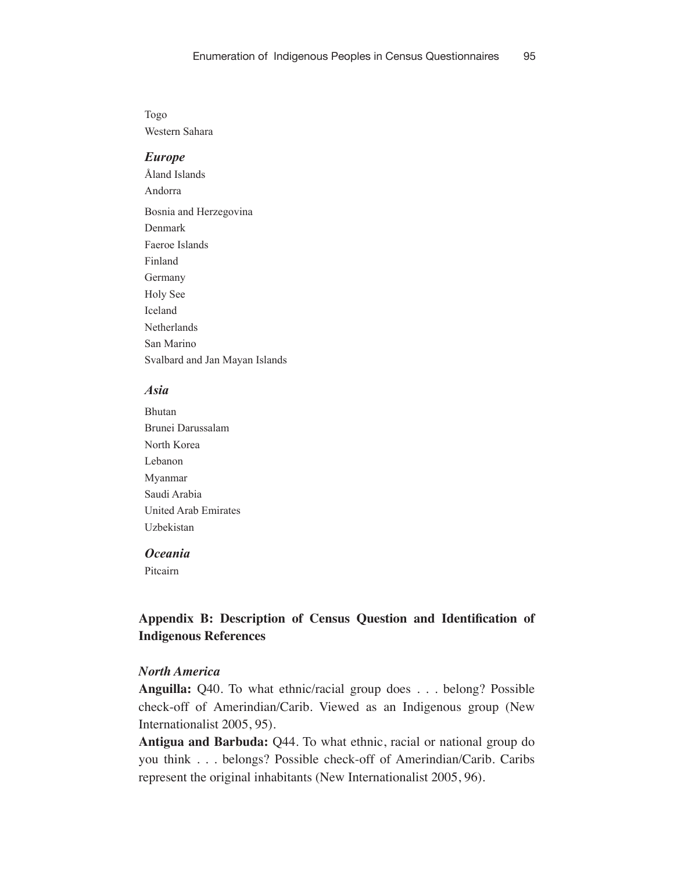Togo Western Sahara

#### *Europe*

Åland Islands Andorra Bosnia and Herzegovina Denmark Faeroe Islands Finland Germany Holy See Iceland Netherlands San Marino Svalbard and Jan Mayan Islands

## *Asia*

Bhutan Brunei Darussalam North Korea Lebanon Myanmar Saudi Arabia United Arab Emirates Uzbekistan

## *Oceania*

Pitcairn

# **Appendix B: Description of Census Question and Identification of Indigenous References**

#### *North America*

**Anguilla:** Q40. To what ethnic/racial group does . . . belong? Possible check-off of Amerindian/Carib. Viewed as an Indigenous group (New Internationalist 2005, 95).

**Antigua and Barbuda:** Q44. To what ethnic, racial or national group do you think . . . belongs? Possible check-off of Amerindian/Carib. Caribs represent the original inhabitants (New Internationalist 2005, 96).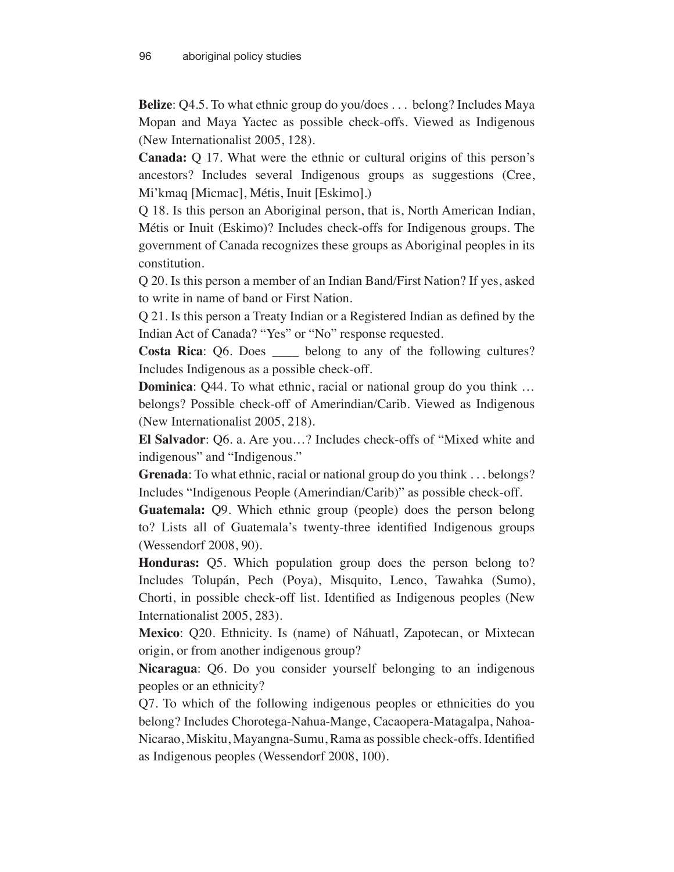**Belize**: Q4.5. To what ethnic group do you/does . . . belong? Includes Maya Mopan and Maya Yactec as possible check-offs. Viewed as Indigenous (New Internationalist 2005, 128).

**Canada:** Q 17. What were the ethnic or cultural origins of this person's ancestors? Includes several Indigenous groups as suggestions (Cree, Mi'kmaq [Micmac], Métis, Inuit [Eskimo].)

Q 18. Is this person an Aboriginal person, that is, North American Indian, Métis or Inuit (Eskimo)? Includes check-offs for Indigenous groups. The government of Canada recognizes these groups as Aboriginal peoples in its constitution.

Q 20. Is this person a member of an Indian Band/First Nation? If yes, asked to write in name of band or First Nation.

Q 21. Is this person a Treaty Indian or a Registered Indian as defined by the Indian Act of Canada? "Yes" or "No" response requested.

**Costa Rica**: Q6. Does \_\_\_\_ belong to any of the following cultures? Includes Indigenous as a possible check-off.

**Dominica**: Q44. To what ethnic, racial or national group do you think ... belongs? Possible check-off of Amerindian/Carib. Viewed as Indigenous (New Internationalist 2005, 218).

**El Salvador**: Q6. a. Are you…? Includes check-offs of "Mixed white and indigenous" and "Indigenous."

**Grenada**: To what ethnic, racial or national group do you think . . . belongs? Includes "Indigenous People (Amerindian/Carib)" as possible check-off.

**Guatemala:** Q9. Which ethnic group (people) does the person belong to? Lists all of Guatemala's twenty-three identified Indigenous groups (Wessendorf 2008, 90).

**Honduras:** Q5. Which population group does the person belong to? Includes Tolupán, Pech (Poya), Misquito, Lenco, Tawahka (Sumo), Chorti, in possible check-off list. Identified as Indigenous peoples (New Internationalist 2005, 283).

**Mexico**: Q20. Ethnicity. Is (name) of Náhuatl, Zapotecan, or Mixtecan origin, or from another indigenous group?

**Nicaragua**: Q6. Do you consider yourself belonging to an indigenous peoples or an ethnicity?

Q7. To which of the following indigenous peoples or ethnicities do you belong? Includes Chorotega-Nahua-Mange, Cacaopera-Matagalpa, Nahoa-Nicarao, Miskitu, Mayangna-Sumu, Rama as possible check-offs. Identified as Indigenous peoples (Wessendorf 2008, 100).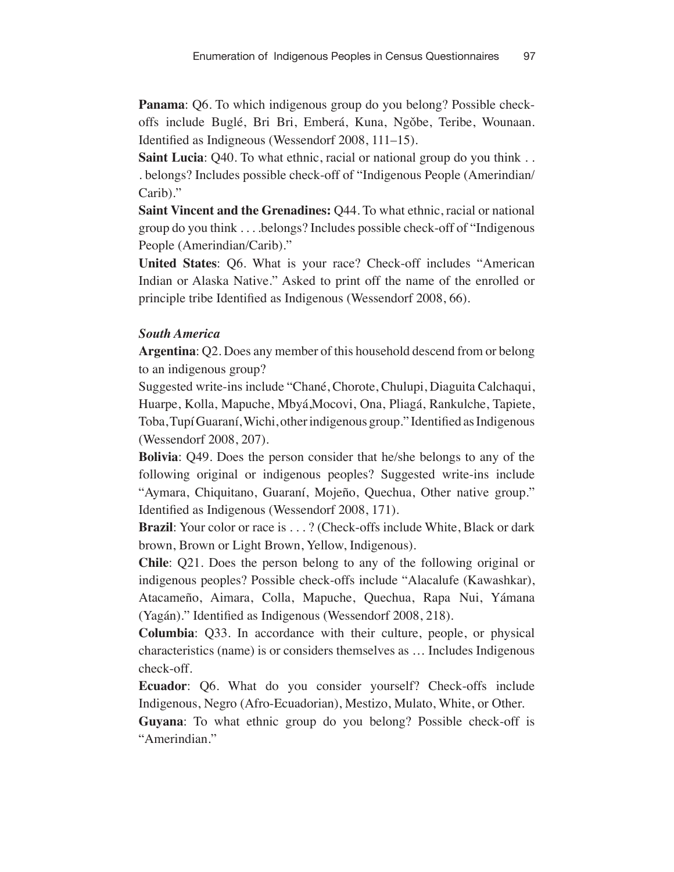**Panama**: Q6. To which indigenous group do you belong? Possible checkoffs include Buglé, Bri Bri, Emberá, Kuna, Ngǒbe, Teribe, Wounaan. Identified as Indigneous (Wessendorf 2008, 111–15).

**Saint Lucia**: Q40. To what ethnic, racial or national group do you think . . . belongs? Includes possible check-off of "Indigenous People (Amerindian/ Carib)."

**Saint Vincent and the Grenadines: Q44. To what ethnic, racial or national** group do you think . . . .belongs? Includes possible check-off of "Indigenous People (Amerindian/Carib)."

**United States**: Q6. What is your race? Check-off includes "American Indian or Alaska Native." Asked to print off the name of the enrolled or principle tribe Identified as Indigenous (Wessendorf 2008, 66).

# *South America*

**Argentina**: Q2. Does any member of this household descend from or belong to an indigenous group?

Suggested write-ins include "Chané, Chorote, Chulupi, Diaguita Calchaqui, Huarpe, Kolla, Mapuche, Mbyá,Mocovi, Ona, Pliagá, Rankulche, Tapiete, Toba, Tupí Guaraní, Wichi, other indigenous group." Identified as Indigenous (Wessendorf 2008, 207).

**Bolivia**: Q49. Does the person consider that he/she belongs to any of the following original or indigenous peoples? Suggested write-ins include "Aymara, Chiquitano, Guaraní, Mojeño, Quechua, Other native group." Identified as Indigenous (Wessendorf 2008, 171).

**Brazil**: Your color or race is . . . ? (Check-offs include White, Black or dark brown, Brown or Light Brown, Yellow, Indigenous).

**Chile**: Q21. Does the person belong to any of the following original or indigenous peoples? Possible check-offs include "Alacalufe (Kawashkar), Atacameño, Aimara, Colla, Mapuche, Quechua, Rapa Nui, Yámana (Yagán)." Identified as Indigenous (Wessendorf 2008, 218).

**Columbia**: Q33. In accordance with their culture, people, or physical characteristics (name) is or considers themselves as … Includes Indigenous check-off.

**Ecuador**: Q6. What do you consider yourself? Check-offs include Indigenous, Negro (Afro-Ecuadorian), Mestizo, Mulato, White, or Other.

**Guyana**: To what ethnic group do you belong? Possible check-off is "Amerindian."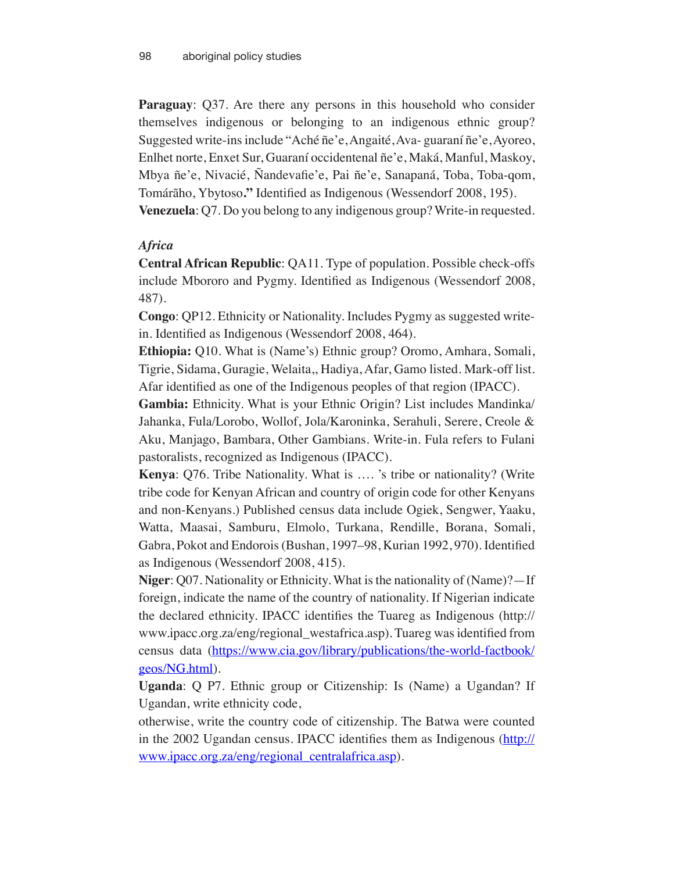**Paraguay**: Q37. Are there any persons in this household who consider themselves indigenous or belonging to an indigenous ethnic group? Suggested write-ins include "Aché ñe'e, Angaité, Ava- guaraní ñe'e, Ayoreo, Enlhet norte, Enxet Sur, Guaraní occidentenal ñe'e, Maká, Manful, Maskoy, Mbya ñe'e, Nivacié, Ñandevafie'e, Pai ñe'e, Sanapaná, Toba, Toba-qom, Tomárãho, Ybytoso**."** Identified as Indigenous (Wessendorf 2008, 195). **Venezuela**: Q7. Do you belong to any indigenous group? Write-in requested.

# *Africa*

**Central African Republic**: QA11. Type of population. Possible check-offs include Mbororo and Pygmy. Identified as Indigenous (Wessendorf 2008, 487).

**Congo**: QP12. Ethnicity or Nationality. Includes Pygmy as suggested writein. Identified as Indigenous (Wessendorf 2008, 464).

**Ethiopia:** Q10. What is (Name's) Ethnic group? Oromo, Amhara, Somali, Tigrie, Sidama, Guragie, Welaita,, Hadiya, Afar, Gamo listed. Mark-off list. Afar identified as one of the Indigenous peoples of that region (IPACC).

**Gambia:** Ethnicity. What is your Ethnic Origin? List includes Mandinka/ Jahanka, Fula/Lorobo, Wollof, Jola/Karoninka, Serahuli, Serere, Creole & Aku, Manjago, Bambara, Other Gambians. Write-in. Fula refers to Fulani pastoralists, recognized as Indigenous (IPACC).

**Kenya**: Q76. Tribe Nationality. What is …. 's tribe or nationality? (Write tribe code for Kenyan African and country of origin code for other Kenyans and non-Kenyans.) Published census data include Ogiek, Sengwer, Yaaku, Watta, Maasai, Samburu, Elmolo, Turkana, Rendille, Borana, Somali, Gabra, Pokot and Endorois(Bushan, 1997–98, Kurian 1992, 970). Identified as Indigenous (Wessendorf 2008, 415).

**Niger**: Q07. Nationality or Ethnicity. What is the nationality of (Name)?—If foreign, indicate the name of the country of nationality. If Nigerian indicate the declared ethnicity. IPACC identifies the Tuareg as Indigenous (http:// www.ipacc.org.za/eng/regional\_westafrica.asp). Tuareg was identified from census data (https://www.cia.gov/library/publications/the-world-factbook/ geos/NG.html).

**Uganda**: Q P7. Ethnic group or Citizenship: Is (Name) a Ugandan? If Ugandan, write ethnicity code,

otherwise, write the country code of citizenship. The Batwa were counted in the 2002 Ugandan census. IPACC identifies them as Indigenous (http:// www.ipacc.org.za/eng/regional\_centralafrica.asp).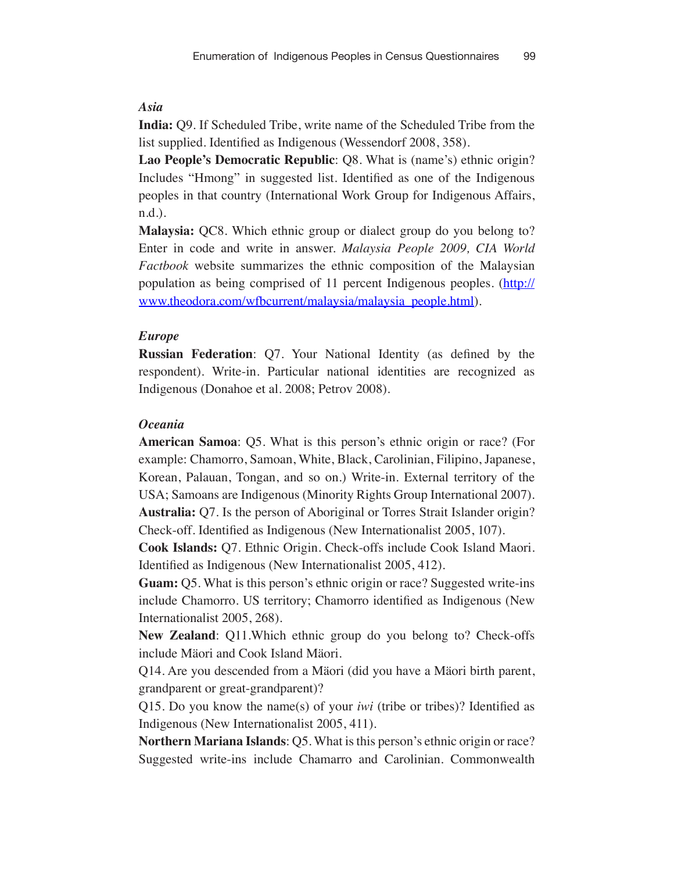#### *Asia*

**India:** Q9. If Scheduled Tribe, write name of the Scheduled Tribe from the list supplied. Identified as Indigenous (Wessendorf 2008, 358).

**Lao People's Democratic Republic**: Q8. What is (name's) ethnic origin? Includes "Hmong" in suggested list. Identified as one of the Indigenous peoples in that country (International Work Group for Indigenous Affairs, n.d.).

**Malaysia:** QC8. Which ethnic group or dialect group do you belong to? Enter in code and write in answer. *Malaysia People 2009, CIA World Factbook* website summarizes the ethnic composition of the Malaysian population as being comprised of 11 percent Indigenous peoples. (http:// www.theodora.com/wfbcurrent/malaysia/malaysia\_people.html).

#### *Europe*

**Russian Federation**: Q7. Your National Identity (as defined by the respondent). Write-in. Particular national identities are recognized as Indigenous (Donahoe et al. 2008; Petrov 2008).

#### *Oceania*

**American Samoa**: Q5. What is this person's ethnic origin or race? (For example: Chamorro, Samoan, White, Black, Carolinian, Filipino, Japanese, Korean, Palauan, Tongan, and so on.) Write-in. External territory of the USA; Samoans are Indigenous (Minority Rights Group International 2007). **Australia:** Q7. Is the person of Aboriginal or Torres Strait Islander origin? Check-off. Identified as Indigenous (New Internationalist 2005, 107).

**Cook Islands:** Q7. Ethnic Origin. Check-offs include Cook Island Maori. Identified as Indigenous (New Internationalist 2005, 412).

**Guam:** Q5. What is this person's ethnic origin or race? Suggested write-ins include Chamorro. US territory; Chamorro identified as Indigenous (New Internationalist 2005, 268).

**New Zealand**: Q11.Which ethnic group do you belong to? Check-offs include Mäori and Cook Island Mäori.

Q14. Are you descended from a Mäori (did you have a Mäori birth parent, grandparent or great-grandparent)?

Q15. Do you know the name(s) of your *iwi* (tribe or tribes)? Identified as Indigenous (New Internationalist 2005, 411).

**Northern Mariana Islands**: Q5. What is this person's ethnic origin or race? Suggested write-ins include Chamarro and Carolinian. Commonwealth